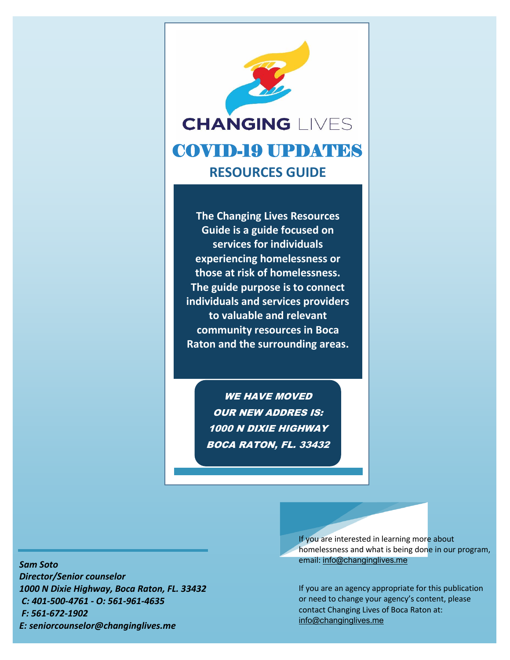

**The Changing Lives Resources Guide is a guide focused on services for individuals experiencing homelessness or those at risk of homelessness. The guide purpose is to connect individuals and services providers to valuable and relevant community resources in Boca Raton and the surrounding areas.** 

> WE HAVE MOVED OUR NEW ADDRES IS: 1000 N DIXIE HIGHWAY BOCA RATON, FL. 33432

*Sam Soto* 

*Director/Senior counselor 1000 N Dixie Highway, Boca Raton, FL. 33432 C: 401-500-4761 - O: 561-961-4635 F: 561-672-1902 E: seniorcounselor@changinglives.me*

If you are interested in learning more about homelessness and what is being done in our program, email: [info@changinglives.me](mailto:info@changinglives.me)

If you are an agency appropriate for this publication or need to change your agency's content, please contact Changing Lives of Boca Raton at: [info@changinglives.me](mailto:info@changinglives.me)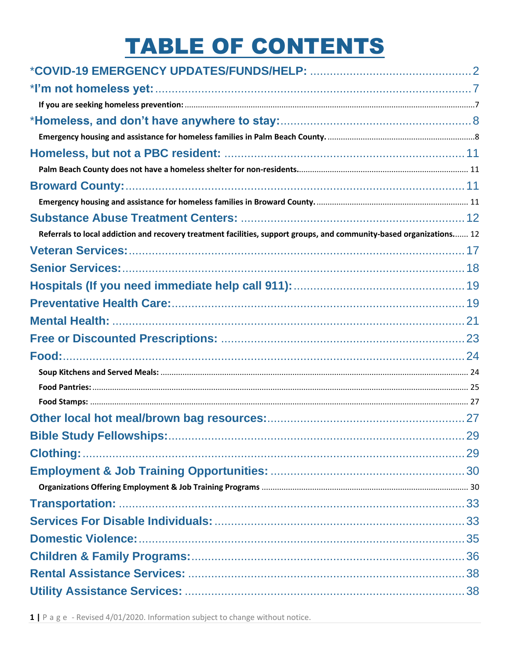# **TABLE OF CONTENTS**

| Referrals to local addiction and recovery treatment facilities, support groups, and community-based organizations 12 |  |
|----------------------------------------------------------------------------------------------------------------------|--|
|                                                                                                                      |  |
|                                                                                                                      |  |
|                                                                                                                      |  |
|                                                                                                                      |  |
|                                                                                                                      |  |
|                                                                                                                      |  |
|                                                                                                                      |  |
|                                                                                                                      |  |
|                                                                                                                      |  |
|                                                                                                                      |  |
|                                                                                                                      |  |
|                                                                                                                      |  |
|                                                                                                                      |  |
|                                                                                                                      |  |
|                                                                                                                      |  |
|                                                                                                                      |  |
|                                                                                                                      |  |
|                                                                                                                      |  |
|                                                                                                                      |  |
|                                                                                                                      |  |
|                                                                                                                      |  |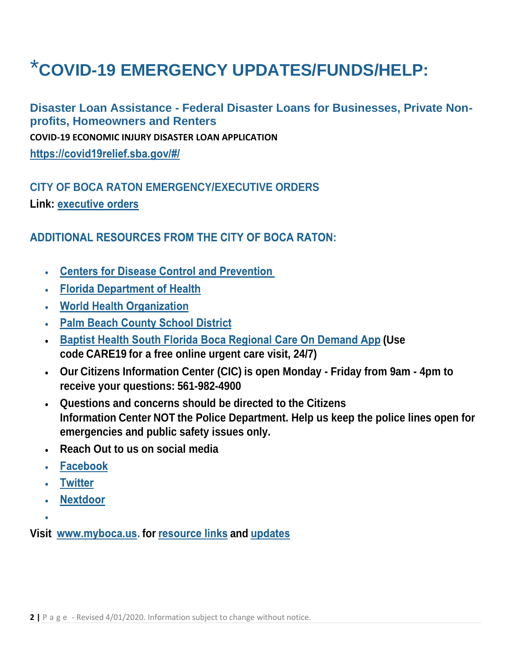# <span id="page-2-0"></span>\***COVID-19 EMERGENCY UPDATES/FUNDS/HELP:**

**Disaster Loan Assistance - Federal Disaster Loans for Businesses, Private Nonprofits, Homeowners and Renters COVID-19 ECONOMIC INJURY DISASTER LOAN APPLICATION** https://covid19relief.sba.gov/#/

#### **CITY OF BOCA RATON EMERGENCY/EXECUTIVE ORDERS Link:**

#### **ADDITIONAL RESOURCES FROM THE CITY OF BOCA RATON:**

- Centers for Disease Control and Prevention
- Florida Department of Health
- World Health Organization
- Palm Beach County School District
- Baptist Health South Florida Boca Regional Care On Demand App (Use **code CARE19 for a free online urgent care visit, 24/7)**
- **Our Citizens Information Center (CIC) is open Monday - Friday from 9am - 4pm to receive your questions: 561-982-4900**
- **Questions and concerns should be directed to the Citizens Information Center NOT the Police Department. Help us keep the police lines open for emergencies and public safety issues only.**
- **Reach Out to us on social media**
- Facebook
- Twitter
- Nextdoor
- 

**Visit www.myboca.us. for resource links and updates**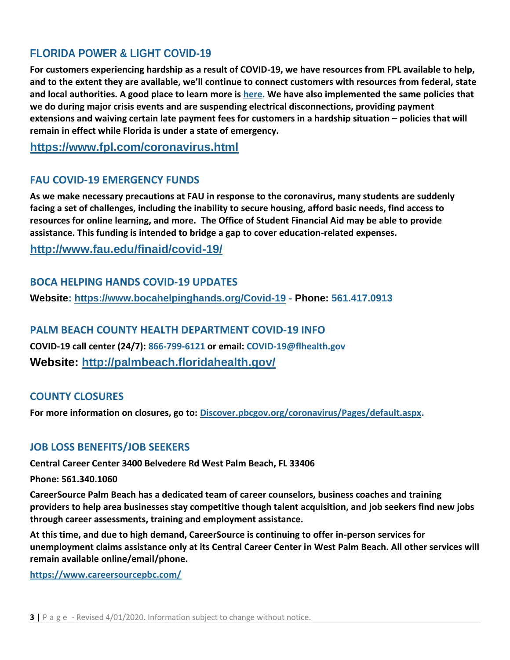#### **FLORIDA POWER & LIGHT COVID-19**

**For customers experiencing hardship as a result of COVID-19, we have resources from FPL available to help, and to the extent they are available, we'll continue to connect customers with resources from federal, state and local authorities. A good place to learn more is [here.](https://www.fpl.com/help.html) We have also implemented the same policies that we do during major crisis events and are suspending electrical disconnections, providing payment extensions and waiving certain late payment fees for customers in a hardship situation – policies that will remain in effect while Florida is under a state of emergency.**

**<https://www.fpl.com/coronavirus.html>**

#### **FAU COVID-19 EMERGENCY FUNDS**

**As we make necessary precautions at FAU in response to the coronavirus, many students are suddenly facing a set of challenges, including the inability to secure housing, afford basic needs, find access to resources for online learning, and more. The Office of Student Financial Aid may be able to provide assistance. This funding is intended to bridge a gap to cover education-related expenses.**

**<http://www.fau.edu/finaid/covid-19/>**

#### **BOCA HELPING HANDS COVID-19 UPDATES**

**Website:<https://www.bocahelpinghands.org/Covid-19> - Phone: 561.417.0913**

#### **PALM BEACH COUNTY HEALTH DEPARTMENT COVID-19 INFO**

**COVID-19 call center (24/7): 866-799-6121 or email: COVID-19@flhealth.gov Website:<http://palmbeach.floridahealth.gov/>**

#### **COUNTY CLOSURES**

**For more information on closures, go to: [Discover.pbcgov.org/coronavirus/Pages/default.aspx.](http://r20.rs6.net/tn.jsp?f=001P2DIECQYRbzNierdw-QSRmqFoFKlm-_iLp0awzUnyRzUDVJkmIOmK85L-cSoUFhB8iMjKz7Tdy8dlVM-jG-Q7iUKD1pYvNuLcZPEI_UISXh8_2wsttobtGmJpZuX2pX7jUOuk5lxIZhQ7dsCdm-Ukm-QF7b0e6UaWu3WWhO6GzntXOAMiDNac_IMSBqKBK3d&c=K8B24KTZvBy6LSVJ12VsMWtBwQTngBmPFU19Dikedi_sW7qKXvnrEA==&ch=PU06W3A0oW1JmHf-OGctdAuRjlee2JsdFqu8W7tPz7vuEb2VZWNcyg==)**

#### **JOB LOSS BENEFITS/JOB SEEKERS**

**Central Career Center 3400 Belvedere Rd West Palm Beach, FL 33406**

**Phone: 561.340.1060**

**CareerSource Palm Beach has a dedicated team of career counselors, business coaches and training providers to help area businesses stay competitive though talent acquisition, and job seekers find new jobs through career assessments, training and employment assistance.**

**At this time, and due to high demand, CareerSource is continuing to offer in-person services for unemployment claims assistance only at its Central Career Center in West Palm Beach. All other services will remain available online/email/phone.**

**<https://www.careersourcepbc.com/>**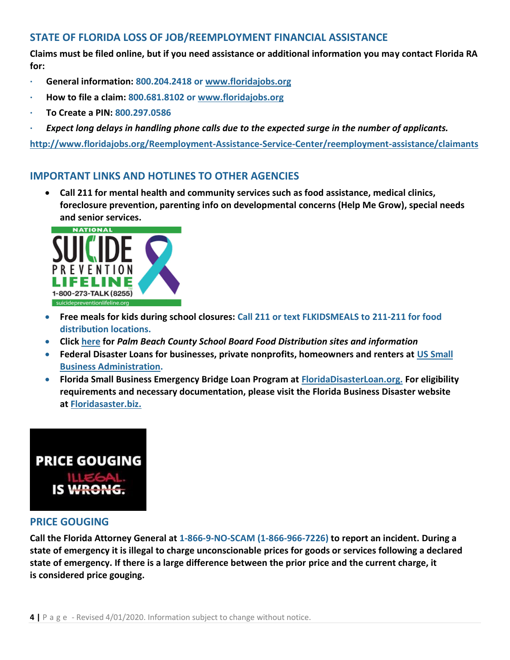#### **STATE OF FLORIDA LOSS OF JOB/REEMPLOYMENT FINANCIAL ASSISTANCE**

**Claims must be filed online, but if you need assistance or additional information you may contact Florida RA for:**

- **· General information: 800.204.2418 or [www.floridajobs.org](http://r20.rs6.net/tn.jsp?f=001P2DIECQYRbzNierdw-QSRmqFoFKlm-_iLp0awzUnyRzUDVJkmIOmK4q4WagxwG-FjTzKH4jj2YJew-82FhHXX2Gy-KF6TVOZ_EoBJTdI0HPfQnmf5jKYKdBa7N1ID-idmtYIFTRpe6XH1t-iMwPXLY0NRKsJAm3a0x7fmiIsDrp04bImXVe8RI1fNFAZIoe2zmABtd9nnuJzt64me8XM2e34AAkZ077v4D8nXemkh52WmW1795hs0P4VEvtUiqv3wq3VdbMJGH6sc3yM3Y8fYSAr2czBdGQGftSbnuo22njY4q0qpjMYkLWOYg64Oyf6qyV7OVTf9O65kIzHDUZGxSZCjirZx1T8lG38OEVLtCZY4AmWAYeXHu6rfg85YAC6FjbS5uNgfNMoLpP9Zbi8ktkXpv-3U8uEFOoapiXBrvTSaW0Bc7cV4kzyx2WZBdjhwdg9p1GozLi-ahxS87wP0VimBPrs3GfKK)**
- **· How to file a claim: 800.681.8102 or [www.floridajobs.org](http://r20.rs6.net/tn.jsp?f=001P2DIECQYRbzNierdw-QSRmqFoFKlm-_iLp0awzUnyRzUDVJkmIOmK4q4WagxwG-FjTzKH4jj2YJew-82FhHXX2Gy-KF6TVOZ_EoBJTdI0HPfQnmf5jKYKdBa7N1ID-idmtYIFTRpe6XH1t-iMwPXLY0NRKsJAm3a0x7fmiIsDrp04bImXVe8RI1fNFAZIoe2zmABtd9nnuJzt64me8XM2e34AAkZ077v4D8nXemkh52WmW1795hs0P4VEvtUiqv3wq3VdbMJGH6sc3yM3Y8fYSAr2czBdGQGftSbnuo22njY4q0qpjMYkLWOYg64Oyf6qyV7OVTf9O65kIzHDUZGxSZCjirZx1T8lG38OEVLtCZY4AmWAYeXHu6rfg85YAC6FjbS5uNgfNMoLpP9Zbi8ktkXpv-3U8uEFOoapiXBrvTSaW0Bc7cV4kzyx2WZBdjhwdg9p1GozLi-ahxS87wP0VimBPrs3GfKK)**
- **· To Create a PIN: 800.297.0586**
- **·** *Expect long delays in handling phone calls due to the expected surge in the number of applicants.*

**<http://www.floridajobs.org/Reemployment-Assistance-Service-Center/reemployment-assistance/claimants>**

#### **IMPORTANT LINKS AND HOTLINES TO OTHER AGENCIES**

• **Call 211 for mental health and community services such as food assistance, medical clinics, foreclosure prevention, parenting info on developmental concerns (Help Me Grow), special needs and senior services.**



- **Free meals for kids during school closures: Call 211 or text FLKIDSMEALS to 211-211 for food distribution locations.**
- **Click [here](http://r20.rs6.net/tn.jsp?f=001P2DIECQYRbzNierdw-QSRmqFoFKlm-_iLp0awzUnyRzUDVJkmIOmK85L-cSoUFhB3ulhLP_4-__5PDEGGycvNQmQs67WPrpUaYptgxhDw7NX9nL7XC8ZyitIvGyNJDiTWiFG0uhybalfq1XbYG_Kc0jboKBpASbQYvc817izQug3quSAk54s5D6Cq6sBkXi8zBdggDPuY9g=&c=K8B24KTZvBy6LSVJ12VsMWtBwQTngBmPFU19Dikedi_sW7qKXvnrEA==&ch=PU06W3A0oW1JmHf-OGctdAuRjlee2JsdFqu8W7tPz7vuEb2VZWNcyg==) for** *Palm Beach County School Board Food Distribution sites and information*
- **Federal Disaster Loans for businesses, private nonprofits, homeowners and renters at [US Small](http://r20.rs6.net/tn.jsp?f=001P2DIECQYRbzNierdw-QSRmqFoFKlm-_iLp0awzUnyRzUDVJkmIOmK4q4WagxwG-FbFYr_mtVIY-xA0NsYZinXvhDpCX-SNS6YvZeC0lkshNwqBDcH45oiZ7H2Io-RGkSknNMr37xqY5yvhLsbm0LrEOvSUPbcuEK&c=K8B24KTZvBy6LSVJ12VsMWtBwQTngBmPFU19Dikedi_sW7qKXvnrEA==&ch=PU06W3A0oW1JmHf-OGctdAuRjlee2JsdFqu8W7tPz7vuEb2VZWNcyg==)  [Business Administration.](http://r20.rs6.net/tn.jsp?f=001P2DIECQYRbzNierdw-QSRmqFoFKlm-_iLp0awzUnyRzUDVJkmIOmK4q4WagxwG-FbFYr_mtVIY-xA0NsYZinXvhDpCX-SNS6YvZeC0lkshNwqBDcH45oiZ7H2Io-RGkSknNMr37xqY5yvhLsbm0LrEOvSUPbcuEK&c=K8B24KTZvBy6LSVJ12VsMWtBwQTngBmPFU19Dikedi_sW7qKXvnrEA==&ch=PU06W3A0oW1JmHf-OGctdAuRjlee2JsdFqu8W7tPz7vuEb2VZWNcyg==)**
- **Florida Small Business Emergency Bridge Loan Program at [FloridaDisasterLoan.org.](http://r20.rs6.net/tn.jsp?f=001P2DIECQYRbzNierdw-QSRmqFoFKlm-_iLp0awzUnyRzUDVJkmIOmK4q4WagxwG-FaNhg3ANkQE9UXdU0YYg7Ls-EtOVckM3yEIchDOX5c-AmcABG8TRhiYCs0JTTTfHfoXFF0x6tkeZ87UokWJxCiwSZMAg05L1pEt_ZkXbmd7ZCZyx7zk-nNXtIB_kplHhg8iC7V2rWlYA-Tq2bQetfJt_YFjqktfu1VC4zf1MSCt9HdT9QEKbtZTEzb3X-wpa3&c=K8B24KTZvBy6LSVJ12VsMWtBwQTngBmPFU19Dikedi_sW7qKXvnrEA==&ch=PU06W3A0oW1JmHf-OGctdAuRjlee2JsdFqu8W7tPz7vuEb2VZWNcyg==) For eligibility requirements and necessary documentation, please visit the Florida Business Disaster website at [Floridasaster.biz.](http://r20.rs6.net/tn.jsp?f=001P2DIECQYRbzNierdw-QSRmqFoFKlm-_iLp0awzUnyRzUDVJkmIOmK4q4WagxwG-FJ6gObpEC3gCI7WF45MxS-OUpSmzhJahwhAMfzqmmJTUtP_RAjY4_9Q_2MfX1A2QJRYkFnN1nYuLcnfq8fhsuJA==&c=K8B24KTZvBy6LSVJ12VsMWtBwQTngBmPFU19Dikedi_sW7qKXvnrEA==&ch=PU06W3A0oW1JmHf-OGctdAuRjlee2JsdFqu8W7tPz7vuEb2VZWNcyg==)**



#### **PRICE GOUGING**

**Call the Florida Attorney General at 1-866-9-NO-SCAM (1-866-966-7226) to report an incident. During a state of emergency it is illegal to charge unconscionable prices for goods or services following a declared state of emergency. If there is a large difference between the prior price and the current charge, it is considered price gouging.**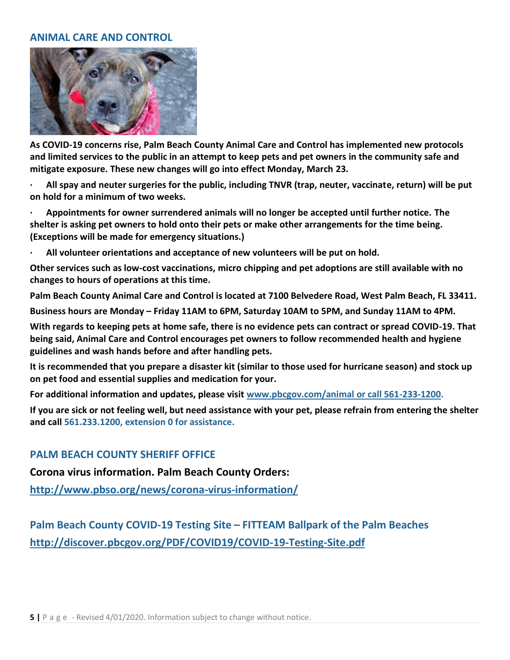#### **ANIMAL CARE AND CONTROL**



**As COVID-19 concerns rise, Palm Beach County Animal Care and Control has implemented new protocols and limited services to the public in an attempt to keep pets and pet owners in the community safe and mitigate exposure. These new changes will go into effect Monday, March 23.**

**· All spay and neuter surgeries for the public, including TNVR (trap, neuter, vaccinate, return) will be put on hold for a minimum of two weeks.**

**· Appointments for owner surrendered animals will no longer be accepted until further notice. The shelter is asking pet owners to hold onto their pets or make other arrangements for the time being. (Exceptions will be made for emergency situations.)**

**· All volunteer orientations and acceptance of new volunteers will be put on hold.**

**Other services such as low-cost vaccinations, micro chipping and pet adoptions are still available with no changes to hours of operations at this time.**

**Palm Beach County Animal Care and Control is located at 7100 Belvedere Road, West Palm Beach, FL 33411.**

**Business hours are Monday – Friday 11AM to 6PM, Saturday 10AM to 5PM, and Sunday 11AM to 4PM.**

**With regards to keeping pets at home safe, there is no evidence pets can contract or spread COVID-19. That being said, Animal Care and Control encourages pet owners to follow recommended health and hygiene guidelines and wash hands before and after handling pets.**

**It is recommended that you prepare a disaster kit (similar to those used for hurricane season) and stock up on pet food and essential supplies and medication for your.**

**For additional information and updates, please visit [www.pbcgov.com/animal or call 561-233-1200.](http://r20.rs6.net/tn.jsp?f=001P2DIECQYRbzNierdw-QSRmqFoFKlm-_iLp0awzUnyRzUDVJkmIOmK85L-cSoUFhBtBKCmmHYDdCgIloVHLp5si_1CpV_MzFHaTQOwdM9XvAOx5U12c9YFYwUX6yLA2qLakRImMJVsNHTMw1bTyN2mF9weBzLNgHa8l-huzX_0G_0UP2OMhkF8cd2u88gSPRi&c=K8B24KTZvBy6LSVJ12VsMWtBwQTngBmPFU19Dikedi_sW7qKXvnrEA==&ch=PU06W3A0oW1JmHf-OGctdAuRjlee2JsdFqu8W7tPz7vuEb2VZWNcyg==)**

**If you are sick or not feeling well, but need assistance with your pet, please refrain from entering the shelter and call 561.233.1200, extension 0 for assistance.**

#### **PALM BEACH COUNTY SHERIFF OFFICE**

**Corona virus information. Palm Beach County Orders:**

**<http://www.pbso.org/news/corona-virus-information/>**

**Palm Beach County COVID-19 Testing Site – FITTEAM Ballpark of the Palm Beaches <http://discover.pbcgov.org/PDF/COVID19/COVID-19-Testing-Site.pdf>**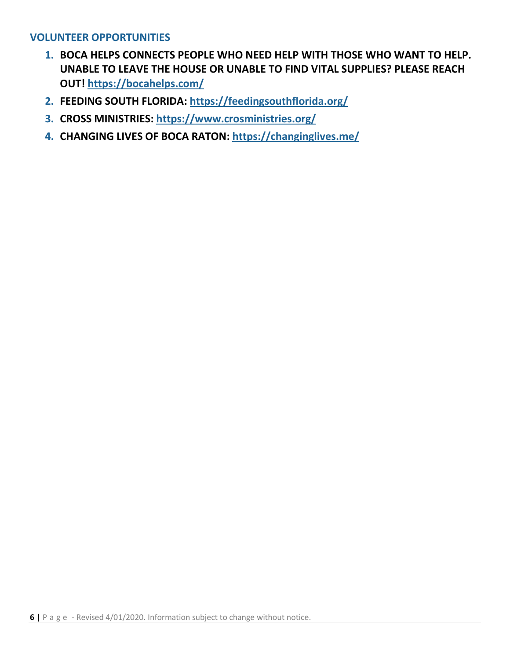#### **VOLUNTEER OPPORTUNITIES**

- **1. BOCA HELPS CONNECTS PEOPLE WHO NEED HELP WITH THOSE WHO WANT TO HELP. UNABLE TO LEAVE THE HOUSE OR UNABLE TO FIND VITAL SUPPLIES? PLEASE REACH OUT! <https://bocahelps.com/>**
- **2. FEEDING SOUTH FLORIDA: <https://feedingsouthflorida.org/>**
- **3. CROSS MINISTRIES: <https://www.crosministries.org/>**
- **4. CHANGING LIVES OF BOCA RATON: <https://changinglives.me/>**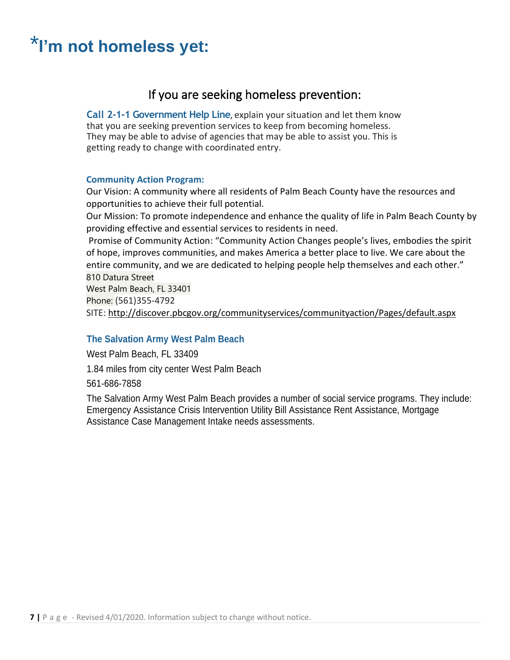# <span id="page-7-1"></span><span id="page-7-0"></span>\***I'm not homeless yet:**

#### If you are seeking homeless prevention:

**Call 2-1-1 Government Help Line**, explain your situation and let them know that you are seeking prevention services to keep from becoming homeless. They may be able to advise of agencies that may be able to assist you. This is getting ready to change with coordinated entry.

#### **Community Action Program:**

Our Vision: A community where all residents of Palm Beach County have the resources and opportunities to achieve their full potential.

Our Mission: To promote independence and enhance the quality of life in Palm Beach County by providing effective and essential services to residents in need.

Promise of Community Action: "Community Action Changes people's lives, embodies the spirit of hope, improves communities, and makes America a better place to live. We care about the entire community, and we are dedicated to helping people help themselves and each other." 810 Datura Street

West Palm Beach, FL 33401 Phone: (561)355-4792 SITE:<http://discover.pbcgov.org/communityservices/communityaction/Pages/default.aspx>

#### **The Salvation Army West Palm Beach**

West Palm Beach, FL 33409

1.84 miles from city center West Palm Beach

561-686-7858

The Salvation Army West Palm Beach provides a number of social service programs. They include: Emergency Assistance Crisis Intervention Utility Bill Assistance Rent Assistance, Mortgage Assistance Case Management Intake needs assessments.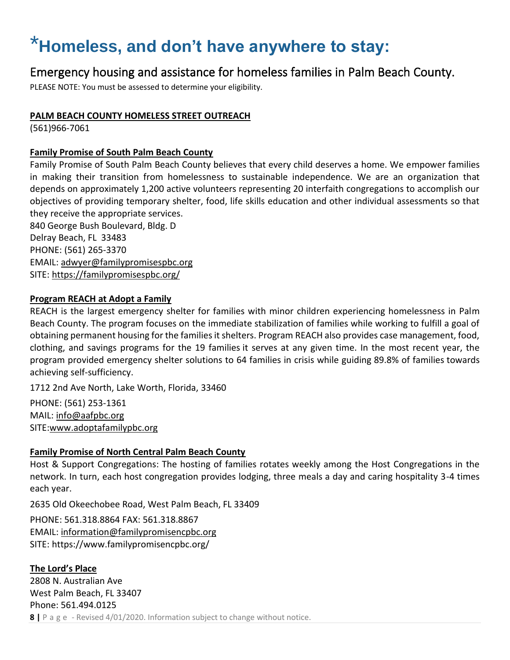# <span id="page-8-0"></span>\***Homeless, and don't have anywhere to stay:**

#### <span id="page-8-1"></span>Emergency housing and assistance for homeless families in Palm Beach County.

PLEASE NOTE: You must be assessed to determine your eligibility.

#### **PALM BEACH COUNTY HOMELESS STREET OUTREACH**

(561)966-7061

#### **Family Promise of South Palm Beach County**

Family Promise of South Palm Beach County believes that every child deserves a home. We empower families in making their transition from homelessness to sustainable independence. We are an organization that depends on approximately 1,200 active volunteers representing 20 interfaith congregations to accomplish our objectives of providing temporary shelter, food, life skills education and other individual assessments so that they receive the appropriate services.

840 George Bush Boulevard, Bldg. D Delray Beach, FL 33483 PHONE: (561) 265-3370 EMAIL: [adwyer@familypromisespbc.org](mailto:adwyer@familypromisespbc.org) SITE:<https://familypromisespbc.org/>

#### **Program REACH at Adopt a Family**

REACH is the largest emergency shelter for families with minor children experiencing homelessness in Palm Beach County. The program focuses on the immediate stabilization of families while working to fulfill a goal of obtaining permanent housing for the families it shelters. Program REACH also provides case management, food, clothing, and savings programs for the 19 families it serves at any given time. In the most recent year, the program provided emergency shelter solutions to 64 families in crisis while guiding 89.8% of families towards achieving self-sufficiency.

1712 2nd Ave North, Lake Worth, Florida, 33460

PHONE: (561) 253-1361 MAIL: [info@aafpbc.org](mailto:info@aafpbc.org) SITE[:www.adoptafamilypbc.org](https://aafpbc.org/)

#### **Family Promise of North Central Palm Beach County**

Host & Support Congregations: The hosting of families rotates weekly among the Host Congregations in the network. In turn, each host congregation provides lodging, three meals a day and caring hospitality 3-4 times each year.

2635 Old Okeechobee Road, West Palm Beach, FL 33409

PHONE: 561.318.8864 FAX: 561.318.8867 EMAIL: [information@familypromisencpbc.org](mailto:information@familypromisencpbc.org) SITE: https://www.familypromisencpbc.org/

#### **8 |** P a g e - Revised 4/01/2020. Information subject to change without notice. **The Lord's Place** 2808 N. Australian Ave West Palm Beach, FL 33407 Phone: 561.494.0125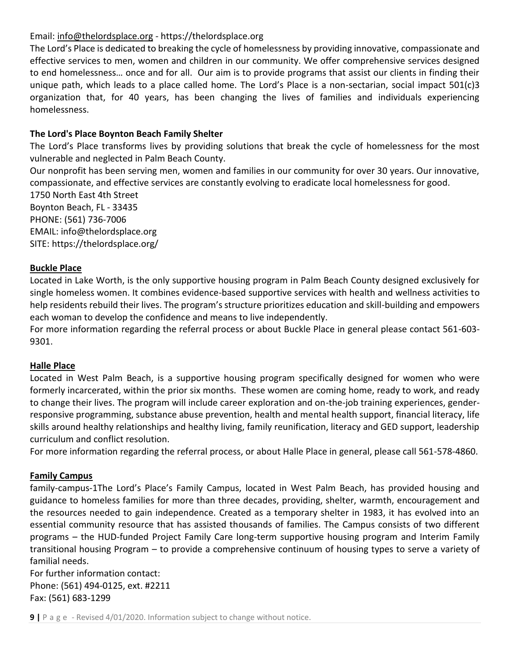#### Email: [info@thelordsplace.org](mailto:info@thelordsplace.org) - https://thelordsplace.org

The Lord's Place is dedicated to breaking the cycle of homelessness by providing innovative, compassionate and effective services to men, women and children in our community. We offer comprehensive services designed to end homelessness… once and for all. Our aim is to provide programs that assist our clients in finding their unique path, which leads to a place called home. The Lord's Place is a non-sectarian, social impact 501(c)3 organization that, for 40 years, has been changing the lives of families and individuals experiencing homelessness.

#### **The Lord's Place Boynton Beach Family Shelter**

The Lord's Place transforms lives by providing solutions that break the cycle of homelessness for the most vulnerable and neglected in Palm Beach County.

Our nonprofit has been serving men, women and families in our community for over 30 years. Our innovative, compassionate, and effective services are constantly evolving to eradicate local homelessness for good.

1750 North East 4th Street Boynton Beach, FL - 33435 PHONE: (561) 736-7006 EMAIL: info@thelordsplace.org SITE: https://thelordsplace.org/

#### **Buckle Place**

Located in Lake Worth, is the only supportive housing program in Palm Beach County designed exclusively for single homeless women. It combines evidence-based supportive services with health and wellness activities to help residents rebuild their lives. The program's structure prioritizes education and skill-building and empowers each woman to develop the confidence and means to live independently.

For more information regarding the referral process or about Buckle Place in general please contact 561-603- 9301.

#### **Halle Place**

Located in West Palm Beach, is a supportive housing program specifically designed for women who were formerly incarcerated, within the prior six months. These women are coming home, ready to work, and ready to change their lives. The program will include career exploration and on-the-job training experiences, genderresponsive programming, substance abuse prevention, health and mental health support, financial literacy, life skills around healthy relationships and healthy living, family reunification, literacy and GED support, leadership curriculum and conflict resolution.

For more information regarding the referral process, or about Halle Place in general, please call 561-578-4860.

#### **Family Campus**

family-campus-1The Lord's Place's Family Campus, located in West Palm Beach, has provided housing and guidance to homeless families for more than three decades, providing, shelter, warmth, encouragement and the resources needed to gain independence. Created as a temporary shelter in 1983, it has evolved into an essential community resource that has assisted thousands of families. The Campus consists of two different programs – the HUD-funded Project Family Care long-term supportive housing program and Interim Family transitional housing Program – to provide a comprehensive continuum of housing types to serve a variety of familial needs.

For further information contact: Phone: (561) 494-0125, ext. #2211 Fax: (561) 683-1299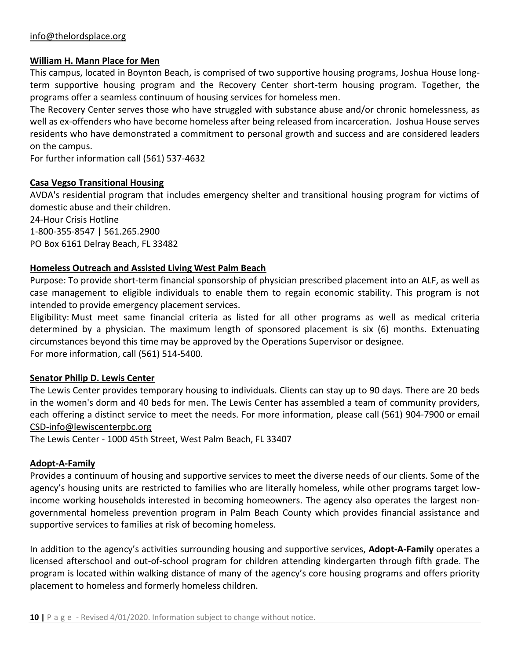#### **William H. Mann Place for Men**

This campus, located in Boynton Beach, is comprised of two supportive housing programs, Joshua House longterm supportive housing program and the Recovery Center short-term housing program. Together, the programs offer a seamless continuum of housing services for homeless men.

The Recovery Center serves those who have struggled with substance abuse and/or chronic homelessness, as well as ex-offenders who have become homeless after being released from incarceration. Joshua House serves residents who have demonstrated a commitment to personal growth and success and are considered leaders on the campus.

For further information call (561) 537-4632

#### **Casa Vegso Transitional Housing**

AVDA's residential program that includes emergency shelter and transitional housing program for victims of domestic abuse and their children.

24-Hour Crisis Hotline 1-800-355-8547 | 561.265.2900 PO Box 6161 Delray Beach, FL 33482

#### **Homeless Outreach and Assisted Living West Palm Beach**

Purpose: To provide short-term financial sponsorship of physician prescribed placement into an ALF, as well as case management to eligible individuals to enable them to regain economic stability. This program is not intended to provide emergency placement services.

Eligibility: Must meet same financial criteria as listed for all other programs as well as medical criteria determined by a physician. The maximum length of sponsored placement is six (6) months. Extenuating circumstances beyond this time may be approved by the Operations Supervisor or designee. For more information, call [\(561\) 514-5400.](tel:561-514-5400)

#### **Senator Philip D. Lewis Center**

The Lewis Center provides temporary housing to individuals. Clients can stay up to 90 days. There are 20 beds in the women's dorm and 40 beds for men. The Lewis Center has assembled a team of community providers, each offering a distinct service to meet the needs. For more information, please call (561) 904-7900 or email [CSD-info@lewiscenterpbc.org](mailto:CSD-info@lewiscenterpbc.org)

The Lewis Center - 1000 45th Street, West Palm Beach, FL 33407

#### **Adopt-A-Family**

Provides a continuum of housing and supportive services to meet the diverse needs of our clients. Some of the agency's housing units are restricted to families who are literally homeless, while other programs target lowincome working households interested in becoming homeowners. The agency also operates the largest nongovernmental homeless prevention program in Palm Beach County which provides financial assistance and supportive services to families at risk of becoming homeless.

In addition to the agency's activities surrounding housing and supportive services, **Adopt-A-Family** operates a licensed afterschool and out-of-school program for children attending kindergarten through fifth grade. The program is located within walking distance of many of the agency's core housing programs and offers priority placement to homeless and formerly homeless children.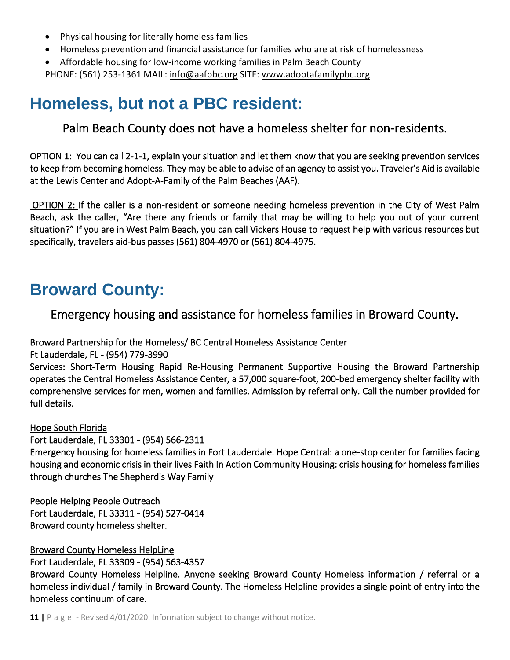- Physical housing for literally homeless families
- Homeless prevention and financial assistance for families who are at risk of homelessness
- Affordable housing for low-income working families in Palm Beach County PHONE: (561) 253-1361 MAIL: [info@aafpbc.org](mailto:info@aafpbc.org) SITE: [www.adoptafamilypbc.org](http://www.adoptafamilypbc.org/)

### <span id="page-11-1"></span><span id="page-11-0"></span>**Homeless, but not a PBC resident:**

Palm Beach County does not have a homeless shelter for non-residents.

OPTION 1: You can call 2-1-1, explain your situation and let them know that you are seeking prevention services to keep from becoming homeless. They may be able to advise of an agency to assist you. Traveler's Aid is available at the Lewis Center and Adopt-A-Family of the Palm Beaches (AAF).

 OPTION 2: If the caller is a non-resident or someone needing homeless prevention in the City of West Palm Beach, ask the caller, "Are there any friends or family that may be willing to help you out of your current situation?" If you are in West Palm Beach, you can call Vickers House to request help with various resources but specifically, travelers aid-bus passes (561) 804-4970 or (561) 804-4975.

### <span id="page-11-3"></span><span id="page-11-2"></span>**Broward County:**

Emergency housing and assistance for homeless families in Broward County.

Broward Partnership for the Homeless/ BC Central Homeless Assistance Center

Ft Lauderdale, FL - (954) 779-3990

Services: Short-Term Housing Rapid Re-Housing Permanent Supportive Housing the Broward Partnership operates the Central Homeless Assistance Center, a 57,000 square-foot, 200-bed emergency shelter facility with comprehensive services for men, women and families. Admission by referral only. Call the number provided for full details.

Hope South Florida

Fort Lauderdale, FL 33301 - (954) 566-2311

Emergency housing for homeless families in Fort Lauderdale. Hope Central: a one-stop center for families facing housing and economic crisis in their lives Faith In Action Community Housing: crisis housing for homeless families through churches The Shepherd's Way Family

People Helping People Outreach Fort Lauderdale, FL 33311 - (954) 527-0414 Broward county homeless shelter.

Broward County Homeless HelpLine Fort Lauderdale, FL 33309 - (954) 563-4357

Broward County Homeless Helpline. Anyone seeking Broward County Homeless information / referral or a homeless individual / family in Broward County. The Homeless Helpline provides a single point of entry into the homeless continuum of care.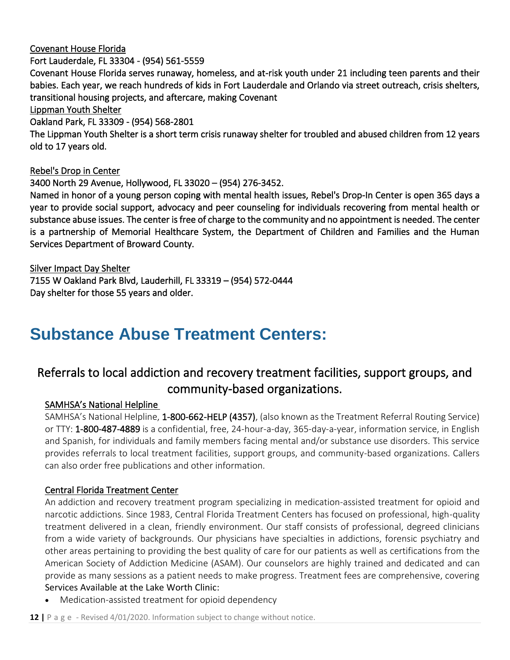Covenant House Florida

Fort Lauderdale, FL 33304 - (954) 561-5559

Covenant House Florida serves runaway, homeless, and at-risk youth under 21 including teen parents and their babies. Each year, we reach hundreds of kids in Fort Lauderdale and Orlando via street outreach, crisis shelters, transitional housing projects, and aftercare, making Covenant

Lippman Youth Shelter

Oakland Park, FL 33309 - (954) 568-2801

The Lippman Youth Shelter is a short term crisis runaway shelter for troubled and abused children from 12 years old to 17 years old.

#### Rebel's Drop in Center

3400 North 29 Avenue, Hollywood, FL 33020 – (954) 276-3452.

Named in honor of a young person coping with mental health issues, Rebel's Drop-In Center is open 365 days a year to provide social support, advocacy and peer counseling for individuals recovering from mental health or substance abuse issues. The center is free of charge to the community and no appointment is needed. The center is a partnership of Memorial Healthcare System, the Department of Children and Families and the Human Services Department of Broward County.

Silver Impact Day Shelter 7155 W Oakland Park Blvd, Lauderhill, FL 33319 – (954) 572-0444 Day shelter for those 55 years and older.

### <span id="page-12-0"></span>**Substance Abuse Treatment Centers:**

### <span id="page-12-1"></span>Referrals to local addiction and recovery treatment facilities, support groups, and community-based organizations.

#### SAMHSA's National Helpline

SAMHSA's National Helpline, [1-800-662-HELP \(4357\),](tel:1-800-662-4357) (also known as the Treatment Referral Routing Service) or TTY: [1-800-487-4889](tel:1-800-487-4889) is a confidential, free, 24-hour-a-day, 365-day-a-year, information service, in English and Spanish, for individuals and family members facing mental and/or substance use disorders. This service provides referrals to local treatment facilities, support groups, and community-based organizations. Callers can also order free publications and other information.

#### Central Florida Treatment Center

An addiction and recovery treatment program specializing in medication-assisted treatment for opioid and narcotic addictions. Since 1983, Central Florida Treatment Centers has focused on professional, high-quality treatment delivered in a clean, friendly environment. Our staff consists of professional, degreed clinicians from a wide variety of backgrounds. Our physicians have specialties in addictions, forensic psychiatry and other areas pertaining to providing the best quality of care for our patients as well as certifications from the American Society of Addiction Medicine (ASAM). Our counselors are highly trained and dedicated and can provide as many sessions as a patient needs to make progress. Treatment fees are comprehensive, covering Services Available at the Lake Worth Clinic:

• Medication-assisted treatment for opioid dependency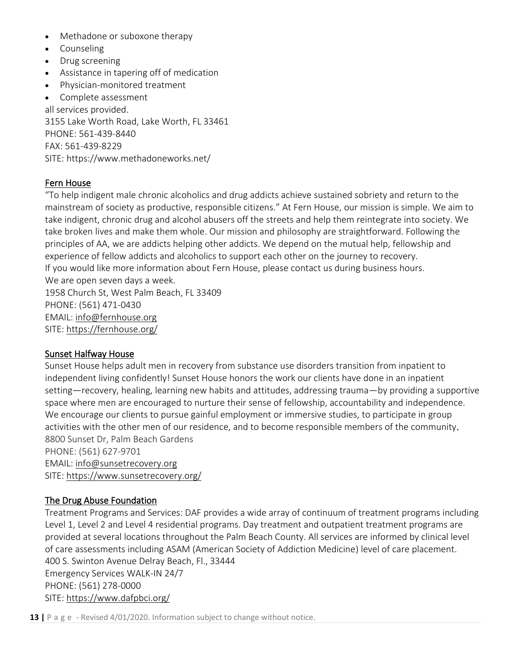- Methadone or suboxone therapy
- Counseling
- Drug screening
- Assistance in tapering off of medication
- Physician-monitored treatment

• Complete assessment all services provided. 3155 Lake Worth Road, Lake Worth, FL 33461 PHONE: [561-439-8440](https://www.methadoneworks.net/) FAX: 561-439-8229 SITE:<https://www.methadoneworks.net/>

### Fern House

"To help indigent male chronic alcoholics and drug addicts achieve sustained sobriety and return to the mainstream of society as productive, responsible citizens." At [Fern House,](https://fernhouse.org/fernhouse-mission/fernhouse.org) our mission is simple. We aim to take indigent, chronic drug and alcohol abusers off the streets and help them reintegrate into society. We take broken lives and make them whole. Our mission and philosophy are straightforward. Following the principles of AA, we are addicts helping other addicts. We depend on the mutual help, fellowship and experience of fellow addicts and alcoholics to support each other on the journey to recovery. If you would like more information about Fern House, please contact us during business hours. We are open seven days a week. 1958 Church St, West Palm Beach, FL 33409 PHONE: (561) 471-0430 EMAIL: [info@fernhouse.org](mailto:info@fernhouse.org) SITE:<https://fernhouse.org/>

#### Sunset Halfway House

Sunset House helps adult men in recovery from substance use disorders transition from inpatient to independent living confidently! Sunset House honors the work our clients have done in an inpatient setting—recovery, healing, learning new habits and attitudes, addressing trauma—by providing a supportive space where men are encouraged to nurture their sense of fellowship, accountability and independence. We encourage our clients to pursue gainful employment or immersive studies, to participate in group activities with the other men of our residence, and to become responsible members of the community. 8800 Sunset Dr, Palm Beach Gardens PHONE: (561) 627-9701

EMAIL: [info@sunsetrecovery.org](mailto:info@sunsetrecovery.org) SITE:<https://www.sunsetrecovery.org/>

#### The Drug Abuse Foundation

Treatment Programs and Services: DAF provides a wide array of continuum of treatment programs including Level 1, Level 2 and Level 4 residential programs. Day treatment and outpatient treatment programs are provided at several locations throughout the Palm Beach County. All services are informed by clinical level of care assessments including ASAM (American Society of Addiction Medicine) level of care placement. 400 S. Swinton Avenue Delray Beach, Fl., 33444 Emergency Services WALK-IN 24/7

PHONE: (561) 278-0000

SITE:<https://www.dafpbci.org/>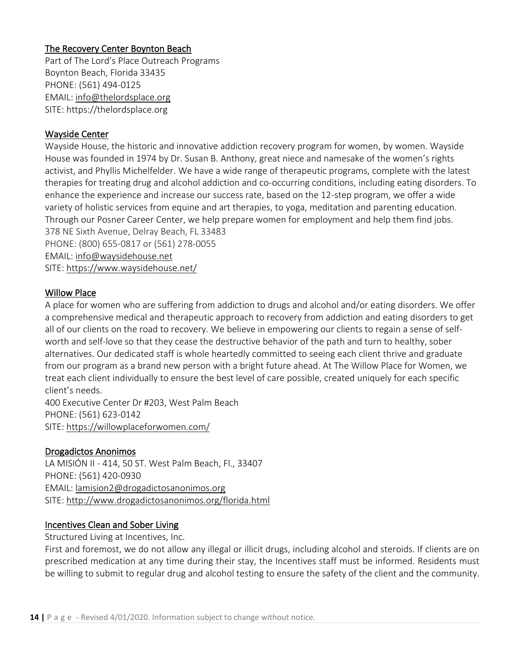#### The Recovery Center Boynton Beach

Part of The Lord's Place Outreach Programs Boynton Beach, Florida 33435 PHONE: (561) 494-0125 EMAIL: [info@thelordsplace.org](mailto:info@thelordsplace.org) SITE: https://thelordsplace.org

#### Wayside Center

Wayside House, the historic and innovative addiction recovery program for women, by women. Wayside House was founded in 1974 by Dr. Susan B. Anthony, great niece and namesake of the women's rights activist, and Phyllis Michelfelder. We have a wide range of therapeutic programs, complete with the latest therapies for treating drug and alcohol addiction and co-occurring conditions, including eating disorders. To enhance the experience and increase our success rate, based on the 12-step program, we offer a wide variety of holistic services from equine and art therapies, to yoga, meditation and parenting education. Through our Posner Career Center, we help prepare women for employment and help them find jobs. 378 NE Sixth Avenue, Delray Beach, FL 33483

PHONE: (800) 655-0817 or (561) 278-0055 EMAIL: [info@waysidehouse.net](mailto:info@waysidehouse.net)

SITE:<https://www.waysidehouse.net/>

#### Willow Place

A place for women who are suffering from addiction to drugs and alcohol and/or eating disorders. We offer a comprehensive medical and therapeutic approach to recovery from addiction and eating disorders to get all of our clients on the road to recovery. We believe in empowering our clients to regain a sense of selfworth and self-love so that they cease the destructive behavior of the path and turn to healthy, sober alternatives. Our dedicated staff is whole heartedly committed to seeing each client thrive and graduate from our program as a brand new person with a bright future ahead. At The Willow Place for Women, we treat each client individually to ensure the best level of care possible, created uniquely for each specific client's needs.

400 Executive Center Dr #203, West Palm Beach PHONE: (561) 623-0142 SITE:<https://willowplaceforwomen.com/>

#### Drogadictos Anonimos

LA MISIÓN II - 414, 50 ST. West Palm Beach, Fl., 33407 PHONE: (561) 420-0930 EMAIL: [lamision2@drogadictosanonimos.org](mailto:lamision2@drogadictosanonimos.org) SITE:<http://www.drogadictosanonimos.org/florida.html>

#### Incentives Clean and Sober Living

Structured Living at Incentives, Inc.

First and foremost, we do not allow any illegal or illicit drugs, including alcohol and steroids. If clients are on prescribed medication at any time during their stay, the Incentives staff must be informed. Residents must be willing to submit to regular drug and alcohol testing to ensure the safety of the client and the community.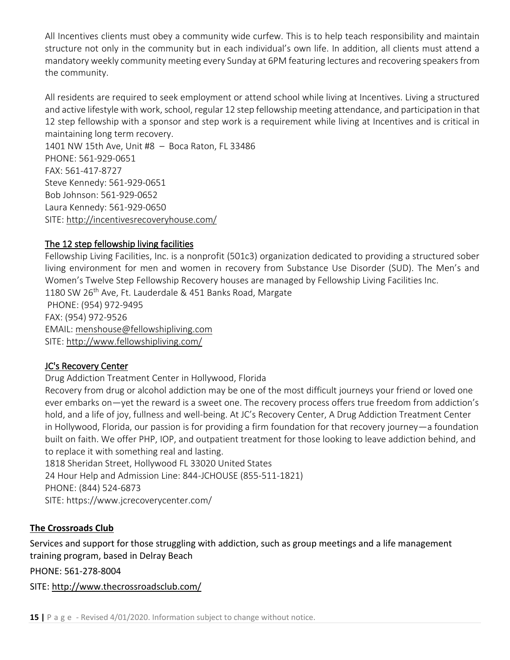All Incentives clients must obey a community wide curfew. This is to help teach responsibility and maintain structure not only in the community but in each individual's own life. In addition, all clients must attend a mandatory weekly community meeting every Sunday at 6PM featuring lectures and recovering speakers from the community.

All residents are required to seek employment or attend school while living at Incentives. Living a structured and active lifestyle with work, school, regular 12 step fellowship meeting attendance, and participation in that 12 step fellowship with a sponsor and step work is a requirement while living at Incentives and is critical in maintaining long term recovery.

1401 NW 15th Ave, Unit #8 – Boca Raton, FL 33486 PHONE: 561-929-0651 FAX: 561-417-8727 Steve Kennedy: 561-929-0651 Bob Johnson: 561-929-0652 Laura Kennedy: 561-929-0650 SITE:<http://incentivesrecoveryhouse.com/>

#### The 12 step fellowship living facilities

Fellowship Living Facilities, Inc. is a nonprofit (501c3) organization dedicated to providing a structured sober living environment for men and women in recovery from Substance Use Disorder (SUD). The Men's and Women's Twelve Step Fellowship Recovery houses are managed by Fellowship Living Facilities Inc. 1180 SW 26<sup>th</sup> Ave, Ft. Lauderdale & 451 Banks Road, Margate

PHONE: (954) 972-9495 FAX: (954) 972-9526 EMAIL: [menshouse@fellowshipliving.com](mailto:menshouse@fellowshipliving.com) SITE:<http://www.fellowshipliving.com/>

#### JC's Recovery Center

Drug Addiction Treatment Center in Hollywood, Florida

Recovery from drug or alcohol addiction may be one of the most difficult journeys your friend or loved one ever embarks on—yet the reward is a sweet one. The recovery process offers true freedom from addiction's hold, and a life of joy, fullness and well-being. At JC's Recovery Center, A Drug Addiction Treatment Center in Hollywood, Florida, our passion is for providing a firm foundation for that recovery journey—a foundation built on faith. We offer PHP, IOP, and outpatient treatment for those looking to leave addiction behind, and to replace it with something real and lasting.

1818 Sheridan Street, Hollywood FL 33020 United States 24 Hour Help and Admission Line: 844-JCHOUSE (855-511-1821) PHONE: (844) 524-6873 SITE: https://www.jcrecoverycenter.com/

#### **The Crossroads Club**

Services and support for those struggling with addiction, such as group meetings and a life management training program, based in Delray Beach

PHONE: 561-278-8004

SITE: <http://www.thecrossroadsclub.com/>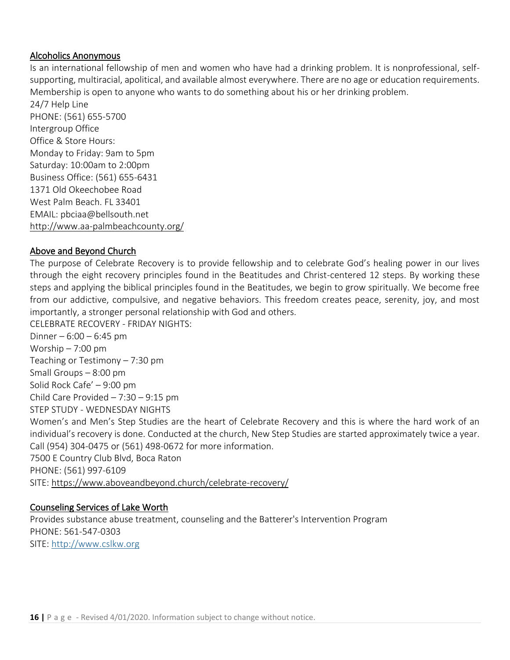#### Alcoholics Anonymous

Is an international fellowship of men and women who have had a drinking problem. It is nonprofessional, selfsupporting, multiracial, apolitical, and available almost everywhere. There are no age or education requirements. Membership is open to anyone who wants to do something about his or her drinking problem.

24/7 Help Line PHONE: (561) 655-5700 Intergroup Office Office & Store Hours: Monday to Friday: 9am to 5pm Saturday: 10:00am to 2:00pm Business Office: (561) 655-6431 1371 Old Okeechobee Road West Palm Beach. FL 33401 EMAIL: pbciaa@bellsouth.net <http://www.aa-palmbeachcounty.org/>

#### Above and Beyond Church

The purpose of Celebrate Recovery is to provide fellowship and to celebrate God's healing power in our lives through the eight recovery principles found in the Beatitudes and Christ-centered 12 steps. By working these steps and applying the biblical principles found in the Beatitudes, we begin to grow spiritually. We become free from our addictive, compulsive, and negative behaviors. This freedom creates peace, serenity, joy, and most importantly, a stronger personal relationship with God and others.

CELEBRATE RECOVERY - FRIDAY NIGHTS: Dinner –  $6:00 - 6:45$  pm Worship – 7:00 pm Teaching or Testimony – 7:30 pm Small Groups – 8:00 pm Solid Rock Cafe' – 9:00 pm Child Care Provided – 7:30 – 9:15 pm STEP STUDY - WEDNESDAY NIGHTS Women's and Men's Step Studies are the heart of Celebrate Recovery and this is where the hard work of an individual's recovery is done. Conducted at the church, New Step Studies are started approximately twice a year. Call (954) 304-0475 or (561) 498-0672 for more information. 7500 E Country Club Blvd, Boca Raton PHONE: (561) 997-6109 SITE:<https://www.aboveandbeyond.church/celebrate-recovery/>

#### Counseling Services of Lake Worth

Provides substance abuse treatment, counseling and the Batterer's Intervention Program PHONE: 561-547-0303 SITE: [http://www.cslkw.org](http://www.cslkw.org/)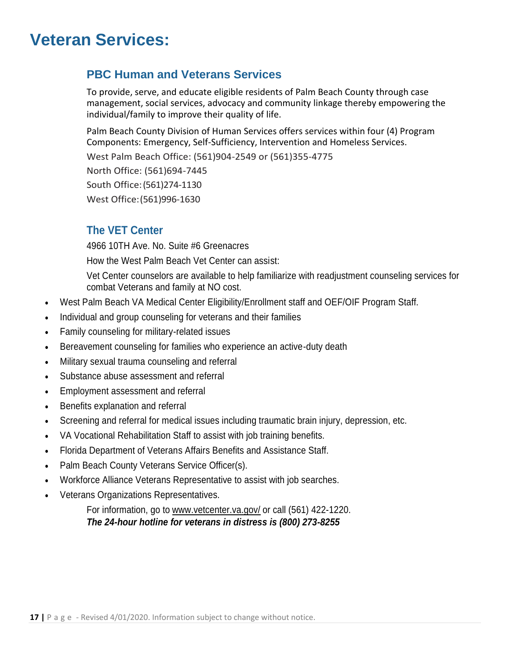### <span id="page-17-0"></span>**Veteran Services:**

#### **PBC Human and Veterans Services**

To provide, serve, and educate eligible residents of Palm Beach County through case management, social services, advocacy and community linkage thereby empowering the individual/family to improve their quality of life.

Palm Beach County Division of Human Services offers services within four (4) Program Components: Emergency, Self-Sufficiency, Intervention and Homeless Services.

West Palm Beach Office: (561)904-2549 or (561)355-4775 North Office: (561)694-7445 South Office:(561)274-1130 West Office:(561)996-1630

#### **The VET Center**

4966 10TH Ave. No. Suite #6 Greenacres

How the West Palm Beach Vet Center can assist:

Vet Center counselors are available to help familiarize with readjustment counseling services for combat Veterans and family at NO cost.

- West Palm Beach VA Medical Center Eligibility/Enrollment staff and OEF/OIF Program Staff.
- Individual and group counseling for veterans and their families
- Family counseling for military-related issues
- Bereavement counseling for families who experience an active-duty death
- Military sexual trauma counseling and referral
- Substance abuse assessment and referral
- Employment assessment and referral
- Benefits explanation and referral
- Screening and referral for medical issues including traumatic brain injury, depression, etc.
- VA Vocational Rehabilitation Staff to assist with job training benefits.
- Florida Department of Veterans Affairs Benefits and Assistance Staff.
- Palm Beach County Veterans Service Officer(s).
- Workforce Alliance Veterans Representative to assist with job searches.
- Veterans Organizations Representatives.

For information, go to [www.vetcenter.va.gov/](http://www.vetcenter.va.gov/) or call (561) 422-1220. *The 24-hour hotline for veterans in distress is (800) 273-8255*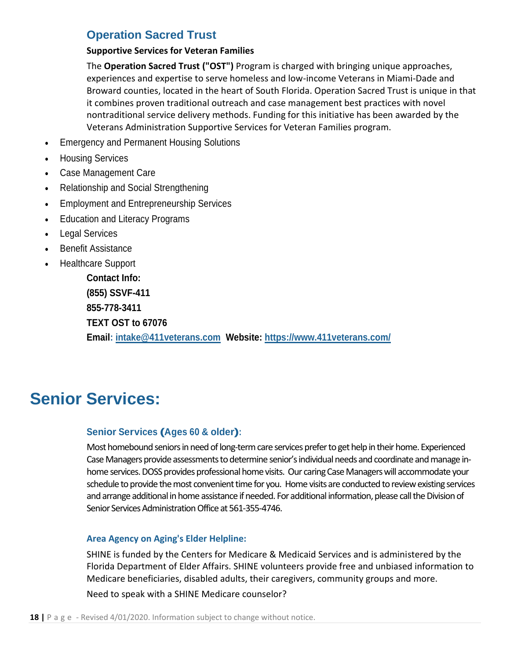#### **Operation Sacred Trust**

#### **Supportive Services for Veteran Families**

The **Operation Sacred Trust ("OST")** Program is charged with bringing unique approaches, experiences and expertise to serve homeless and low-income Veterans in Miami-Dade and Broward counties, located in the heart of South Florida. Operation Sacred Trust is unique in that it combines proven traditional outreach and case management best practices with novel nontraditional service delivery methods. Funding for this initiative has been awarded by the Veterans Administration Supportive Services for Veteran Families program.

- Emergency and Permanent Housing Solutions
- Housing Services
- Case Management Care
- Relationship and Social Strengthening
- Employment and Entrepreneurship Services
- Education and Literacy Programs
- **Legal Services**
- Benefit Assistance
- Healthcare Support

**Contact Info: (855) SSVF-411 855-778-3411 TEXT OST to 67076 Email: [intake@411veterans.com](mailto:intake@411veterans.com) Website:<https://www.411veterans.com/>**

### <span id="page-18-0"></span>**Senior Services:**

#### **Senior Services (Ages <sup>60</sup> & older):**

Most homebound seniors in need of long-term care services prefer to get help in their home. Experienced Case Managers provide assessments to determine senior's individual needs and coordinate and manage inhome services.DOSS provides professional home visits. Our caring Case Managers will accommodate your schedule to provide the most convenient time for you. Home visits are conducted to review existing services and arrange additional in home assistance if needed. For additional information, please call the Division of Senior Services Administration Office at [561-355-4746.](tel:561-355-4746)

#### **Area Agency on Aging's Elder Helpline:**

SHINE is funded by the Centers for Medicare & Medicaid Services and is administered by the Florida Department of Elder Affairs. SHINE volunteers provide free and unbiased information to Medicare beneficiaries, disabled adults, their caregivers, community groups and more.

Need to speak with a SHINE Medicare counselor?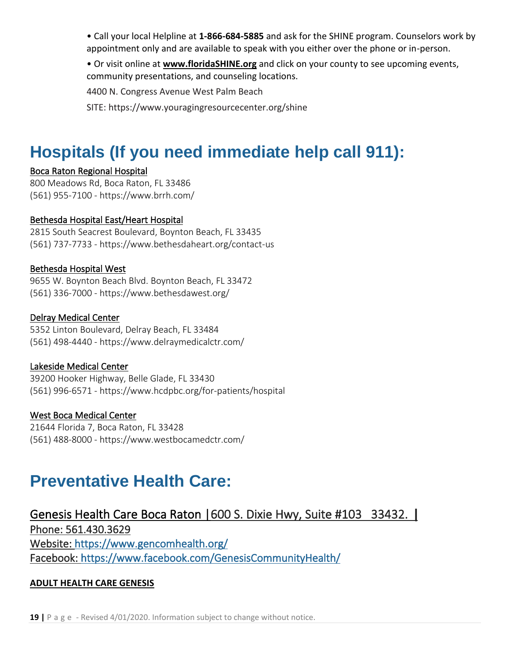• Call your local Helpline at **1-866-684-5885** and ask for the SHINE program. Counselors work by appointment only and are available to speak with you either over the phone or in-person.

• Or visit online at **[www.floridaSHINE.org](http://www.floridashine.org/)** and click on your county to see upcoming events, community presentations, and counseling locations.

4400 N. Congress Avenue West Palm Beach

SITE: https://www.youragingresourcecenter.org/shine

# <span id="page-19-0"></span>**Hospitals (If you need immediate help call 911):**

#### Boca Raton Regional Hospital

800 Meadows Rd, Boca Raton, FL 33486 (561) 955-7100 - https://www.brrh.com/

#### Bethesda Hospital East/Heart Hospital

2815 South Seacrest Boulevard, Boynton Beach, FL 33435 (561) 737-7733 - <https://www.bethesdaheart.org/contact-us>

#### Bethesda Hospital West

9655 W. Boynton Beach Blvd. Boynton Beach, FL 33472 (561) 336-7000 - https://www.bethesdawest.org/

#### Delray Medical Center

5352 Linton Boulevard, Delray Beach, FL 33484 (561) 498-4440 - https://www.delraymedicalctr.com/

#### Lakeside Medical Center

39200 Hooker Highway, Belle Glade, FL 33430 (561) 996-6571 - https://www.hcdpbc.org/for-patients/hospital

#### West Boca Medical Center

21644 Florida 7, Boca Raton, FL 33428 (561) 488-8000 - https://www.westbocamedctr.com/

## <span id="page-19-1"></span>**Preventative Health Care:**

#### Genesis Health Care Boca Raton |600 S. Dixie Hwy, Suite #103 33432. **|**

Phone: 561.430.3629 Website:<https://www.gencomhealth.org/> Facebook:<https://www.facebook.com/GenesisCommunityHealth/>

#### **ADULT HEALTH CARE GENESIS**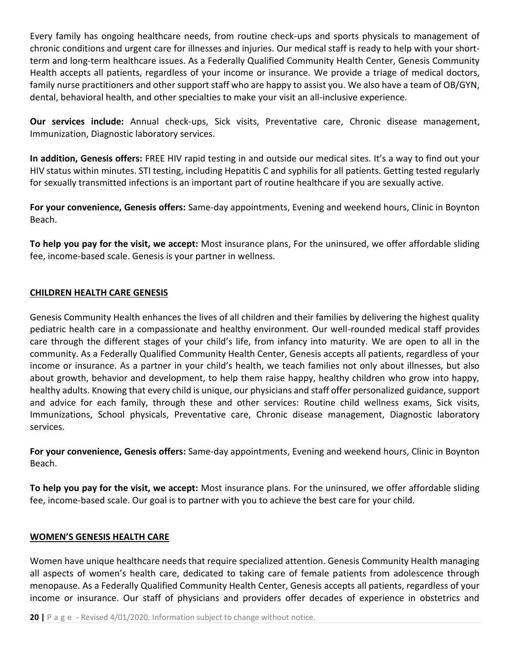Every family has ongoing healthcare needs, from routine check-ups and sports physicals to management of chronic conditions and urgent care for illnesses and injuries. Our medical staff is ready to help with your shortterm and long-term healthcare issues. As a Federally Qualified Community Health Center, Genesis Community Health accepts all patients, regardless of your income or insurance. We provide a triage of medical doctors, family nurse practitioners and other support staff who are happy to assist you. We also have a team of OB/GYN, dental, behavioral health, and other specialties to make your visit an all-inclusive experience.

**Our services include:** Annual check-ups, Sick visits, Preventative care, Chronic disease management, Immunization, Diagnostic laboratory services.

**In addition, Genesis offers:** FREE HIV rapid testing in and outside our medical sites. It's a way to find out your HIV status within minutes. STI testing, including Hepatitis C and syphilis for all patients. Getting tested regularly for sexually transmitted infections is an important part of routine healthcare if you are sexually active.

**For your convenience, Genesis offers:** Same-day appointments, Evening and weekend hours, Clinic in Boynton Beach.

**To help you pay for the visit, we accept:** Most insurance plans, For the uninsured, we offer affordable sliding fee, income-based scale. Genesis is your partner in wellness.

#### **CHILDREN HEALTH CARE GENESIS**

Genesis Community Health enhances the lives of all children and their families by delivering the highest quality pediatric health care in a compassionate and healthy environment. Our well-rounded medical staff provides care through the different stages of your child's life, from infancy into maturity. We are open to all in the community. As a Federally Qualified Community Health Center, Genesis accepts all patients, regardless of your income or insurance. As a partner in your child's health, we teach families not only about illnesses, but also about growth, behavior and development, to help them raise happy, healthy children who grow into happy, healthy adults. Knowing that every child is unique, our physicians and staff offer personalized guidance, support and advice for each family, through these and other services: Routine child wellness exams, Sick visits, Immunizations, School physicals, Preventative care, Chronic disease management, Diagnostic laboratory services.

**For your convenience, Genesis offers:** Same-day appointments, Evening and weekend hours, Clinic in Boynton Beach.

**To help you pay for the visit, we accept:** Most insurance plans. For the uninsured, we offer affordable sliding fee, income-based scale. Our goal is to partner with you to achieve the best care for your child.

#### **WOMEN'S GENESIS HEALTH CARE**

Women have unique healthcare needs that require specialized attention. Genesis Community Health managing all aspects of women's health care, dedicated to taking care of female patients from adolescence through menopause. As a Federally Qualified Community Health Center, Genesis accepts all patients, regardless of your income or insurance. Our staff of physicians and providers offer decades of experience in obstetrics and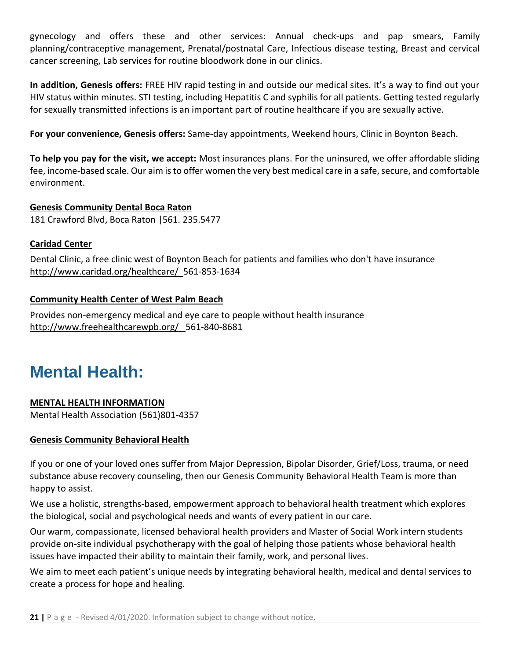gynecology and offers these and other services: Annual check-ups and pap smears, Family planning/contraceptive management, Prenatal/postnatal Care, Infectious disease testing, Breast and cervical cancer screening, Lab services for routine bloodwork done in our clinics.

**In addition, Genesis offers:** FREE HIV rapid testing in and outside our medical sites. It's a way to find out your HIV status within minutes. STI testing, including Hepatitis C and syphilis for all patients. Getting tested regularly for sexually transmitted infections is an important part of routine healthcare if you are sexually active.

**For your convenience, Genesis offers:** Same-day appointments, Weekend hours, Clinic in Boynton Beach.

**To help you pay for the visit, we accept:** Most insurances plans. For the uninsured, we offer affordable sliding fee, income-based scale. Our aim is to offer women the very best medical care in a safe, secure, and comfortable environment.

**Genesis Community Dental Boca Raton** 181 Crawford Blvd, Boca Raton |561. 235.5477

#### **Caridad Center**

Dental Clinic, a free clinic west of Boynton Beach for patients and families who don't have insurance <http://www.caridad.org/healthcare/>561-853-1634

#### **Community Health Center of West Palm Beach**

Provides non-emergency medical and eye care to people without health insurance <http://www.freehealthcarewpb.org/>561-840-8681

### <span id="page-21-0"></span>**Mental Health:**

#### **MENTAL HEALTH INFORMATION**

Mental Health Association (561)801-4357

#### **Genesis Community Behavioral Health**

If you or one of your loved ones suffer from Major Depression, Bipolar Disorder, Grief/Loss, trauma, or need substance abuse recovery counseling, then our Genesis Community Behavioral Health Team is more than happy to assist.

We use a holistic, strengths-based, empowerment approach to behavioral health treatment which explores the biological, social and psychological needs and wants of every patient in our care.

Our warm, compassionate, licensed behavioral health providers and Master of Social Work intern students provide on-site individual psychotherapy with the goal of helping those patients whose behavioral health issues have impacted their ability to maintain their family, work, and personal lives.

We aim to meet each patient's unique needs by integrating behavioral health, medical and dental services to create a process for hope and healing.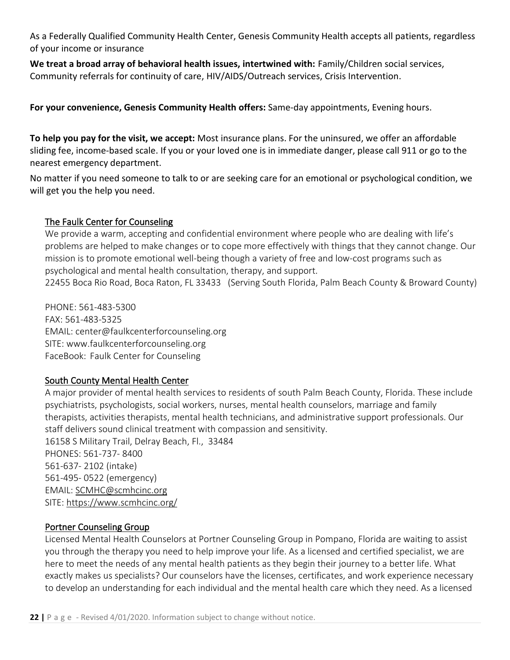As a Federally Qualified Community Health Center, Genesis Community Health accepts all patients, regardless of your income or insurance

**We treat a broad array of behavioral health issues, intertwined with:** Family/Children social services, Community referrals for continuity of care, HIV/AIDS/Outreach services, Crisis Intervention.

**For your convenience, Genesis Community Health offers:** Same-day appointments, Evening hours.

**To help you pay for the visit, we accept:** Most insurance plans. For the uninsured, we offer an affordable sliding fee, income-based scale. If you or your loved one is in immediate danger, please call 911 or go to the nearest emergency department.

No matter if you need someone to talk to or are seeking care for an emotional or psychological condition, we will get you the help you need.

#### The Faulk Center for Counseling

We provide a warm, accepting and confidential environment where people who are dealing with life's problems are helped to make changes or to cope more effectively with things that they cannot change. Our mission is to promote emotional well-being though a variety of free and low-cost programs such as psychological and mental health consultation, therapy, and support.

22455 Boca Rio Road, Boca Raton, FL 33433 (Serving South Florida, Palm Beach County & Broward County)

PHONE: 561-483-5300 FAX: 561-483-5325 EMAIL: center@faulkcenterforcounseling.org SITE: www.faulkcenterforcounseling.org FaceBook: Faulk Center for Counseling

#### South County Mental Health Center

A major provider of mental health services to residents of south Palm Beach County, Florida. These include psychiatrists, psychologists, social workers, nurses, mental health counselors, marriage and family therapists, activities therapists, mental health technicians, and administrative support professionals. Our staff delivers sound clinical treatment with compassion and sensitivity. 16158 S Military Trail, Delray Beach, Fl., 33484 PHONES: 561-737- 8400 561-637- 2102 (intake) 561-495- 0522 (emergency) EMAIL: [SCMHC@scmhcinc.org](mailto:SCMHC@scmhcinc.org) SITE:<https://www.scmhcinc.org/>

#### Portner Counseling Group

[Licensed Mental Health Counselors](https://portnercounseling.com/biography) at Portner Counseling Group in Pompano, Florida are waiting to assist you through the therapy you need to help improve your life. As a licensed and certified specialist, we are here to meet the needs of any mental health patients as they begin their journey to a better life. What exactly makes us specialists? Our counselors have the licenses, certificates, and work experience necessary to develop an understanding for each individual and the mental health care which they need. As a licensed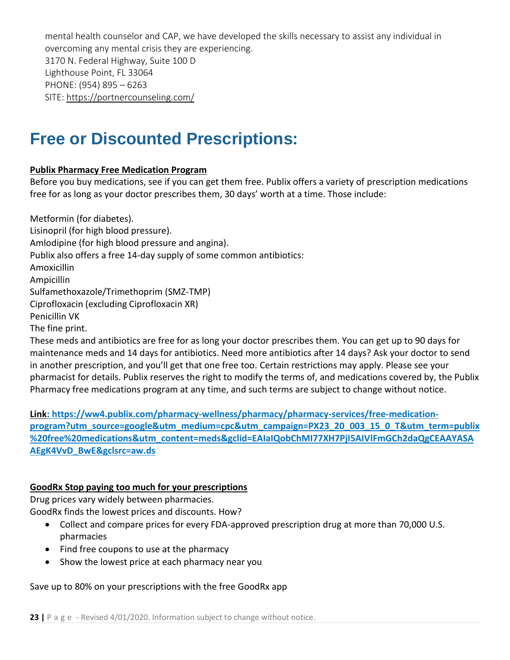mental health counselor and CAP, we have developed the skills necessary to assist any individual in overcoming any mental crisis they are experiencing. 3170 N. Federal Highway, Suite 100 D Lighthouse Point, FL 33064 PHONE: (954) 895 – 6263 SITE:<https://portnercounseling.com/>

### <span id="page-23-0"></span>**Free or Discounted Prescriptions:**

#### **Publix Pharmacy Free Medication Program**

Before you buy medications, see if you can get them free. Publix offers a variety of prescription medications free for as long as your doctor prescribes them, 30 days' worth at a time. Those include:

Metformin (for diabetes). Lisinopril (for high blood pressure). Amlodipine (for high blood pressure and angina). Publix also offers a free 14-day supply of some common antibiotics: Amoxicillin Ampicillin Sulfamethoxazole/Trimethoprim (SMZ-TMP) Ciprofloxacin (excluding Ciprofloxacin XR) Penicillin VK The fine print. These meds and antibiotics are free for as long your doctor prescribes them. You can get up to 90 days for maintenance meds and 14 days for antibiotics. Need more antibiotics after 14 days? Ask your doctor to send

in another prescription, and you'll get that one free too. Certain restrictions may apply. Please see your pharmacist for details. Publix reserves the right to modify the terms of, and medications covered by, the Publix Pharmacy free medications program at any time, and such terms are subject to change without notice.

**Link: [https://ww4.publix.com/pharmacy-wellness/pharmacy/pharmacy-services/free-medication](https://ww4.publix.com/pharmacy-wellness/pharmacy/pharmacy-services/free-medication-program?utm_source=google&utm_medium=cpc&utm_campaign=PX23_20_003_15_0_T&utm_term=publix%20free%20medications&utm_content=meds&gclid=EAIaIQobChMI77XH7PjI5AIVlFmGCh2daQgCEAAYASAAEgK4VvD_BwE&gclsrc=aw.ds)[program?utm\\_source=google&utm\\_medium=cpc&utm\\_campaign=PX23\\_20\\_003\\_15\\_0\\_T&utm\\_term=publix](https://ww4.publix.com/pharmacy-wellness/pharmacy/pharmacy-services/free-medication-program?utm_source=google&utm_medium=cpc&utm_campaign=PX23_20_003_15_0_T&utm_term=publix%20free%20medications&utm_content=meds&gclid=EAIaIQobChMI77XH7PjI5AIVlFmGCh2daQgCEAAYASAAEgK4VvD_BwE&gclsrc=aw.ds) [%20free%20medications&utm\\_content=meds&gclid=EAIaIQobChMI77XH7PjI5AIVlFmGCh2daQgCEAAYASA](https://ww4.publix.com/pharmacy-wellness/pharmacy/pharmacy-services/free-medication-program?utm_source=google&utm_medium=cpc&utm_campaign=PX23_20_003_15_0_T&utm_term=publix%20free%20medications&utm_content=meds&gclid=EAIaIQobChMI77XH7PjI5AIVlFmGCh2daQgCEAAYASAAEgK4VvD_BwE&gclsrc=aw.ds) [AEgK4VvD\\_BwE&gclsrc=aw.ds](https://ww4.publix.com/pharmacy-wellness/pharmacy/pharmacy-services/free-medication-program?utm_source=google&utm_medium=cpc&utm_campaign=PX23_20_003_15_0_T&utm_term=publix%20free%20medications&utm_content=meds&gclid=EAIaIQobChMI77XH7PjI5AIVlFmGCh2daQgCEAAYASAAEgK4VvD_BwE&gclsrc=aw.ds)**

#### **GoodRx Stop paying too much for your prescriptions**

Drug prices vary widely between pharmacies. GoodRx finds the lowest prices and discounts. How?

- Collect and compare prices for every FDA-approved prescription drug at more than 70,000 U.S. pharmacies
- Find free coupons to use at the pharmacy
- Show the lowest price at each pharmacy near you

Save up to 80% on your prescriptions with the free GoodRx app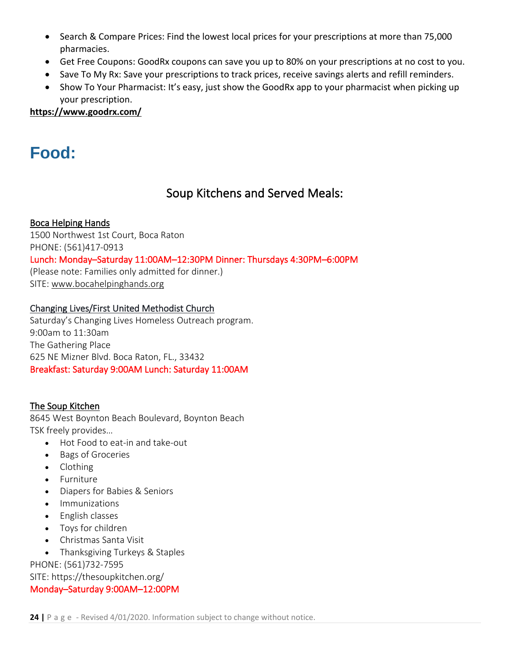- Search & Compare Prices: Find the lowest local prices for your prescriptions at more than 75,000 pharmacies.
- Get Free Coupons: GoodRx coupons can save you up to 80% on your prescriptions at no cost to you.
- Save To My Rx: Save your prescriptions to track prices, receive savings alerts and refill reminders.
- Show To Your Pharmacist: It's easy, just show the GoodRx app to your pharmacist when picking up your prescription.

**https://www.goodrx.com/**

### <span id="page-24-1"></span><span id="page-24-0"></span>**Food:**

### Soup Kitchens and Served Meals:

#### Boca Helping Hands

1500 Northwest 1st Court, Boca Raton

PHONE: (561)417-0913

Lunch: Monday–Saturday 11:00AM–12:30PM Dinner: Thursdays 4:30PM–6:00PM

(Please note: Families only admitted for dinner.) SITE: [www.bocahelpinghands.org](http://www.bocahelpinghands.org/)

#### Changing Lives/First United Methodist Church

Saturday's Changing Lives Homeless Outreach program. 9:00am to 11:30am The Gathering Place 625 NE Mizner Blvd. Boca Raton, FL., 33432 Breakfast: Saturday 9:00AM Lunch: Saturday 11:00AM

#### The Soup Kitchen

8645 West Boynton Beach Boulevard, Boynton Beach TSK freely provides…

- Hot Food to eat-in and take-out
- Bags of Groceries
- Clothing
- Furniture
- Diapers for Babies & Seniors
- Immunizations
- English classes
- Toys for children
- Christmas Santa Visit
- Thanksgiving Turkeys & Staples

PHONE: (561)732-7595

SITE: https://thesoupkitchen.org/

#### Monday–Saturday 9:00AM–12:00PM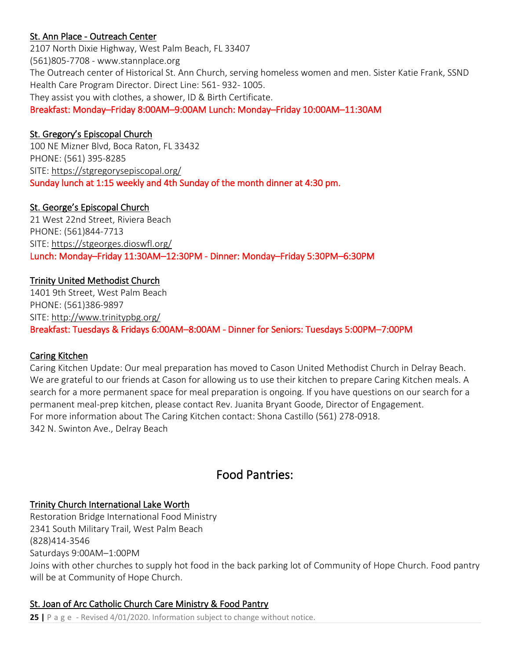#### St. Ann Place - Outreach Center

2107 North Dixie Highway, West Palm Beach, FL 33407 (561)805-7708 - www.stannplace.org The Outreach center of Historical St. Ann Church, serving homeless women and men. Sister Katie Frank, SSND Health Care Program Director. Direct Line: 561- 932- 1005. They assist you with clothes, a shower, ID & Birth Certificate. Breakfast: Monday–Friday 8:00AM–9:00AM Lunch: Monday–Friday 10:00AM–11:30AM

#### St. Gregory's Episcopal Church

100 NE Mizner Blvd, Boca Raton, FL 33432 PHONE: (561) 395-8285 SITE:<https://stgregorysepiscopal.org/> Sunday lunch at 1:15 weekly and 4th Sunday of the month dinner at 4:30 pm.

#### St. George's Episcopal Church

21 West 22nd Street, Riviera Beach PHONE: (561)844-7713 SITE:<https://stgeorges.dioswfl.org/> Lunch: Monday–Friday 11:30AM–12:30PM - Dinner: Monday–Friday 5:30PM–6:30PM

#### Trinity United Methodist Church

1401 9th Street, West Palm Beach PHONE: (561)386-9897 SITE:<http://www.trinitypbg.org/> Breakfast: Tuesdays & Fridays 6:00AM–8:00AM - Dinner for Seniors: Tuesdays 5:00PM–7:00PM

#### Caring Kitchen

Caring Kitchen Update: Our meal preparation has moved to Cason United Methodist Church in Delray Beach. We are grateful to our friends at Cason for allowing us to use their kitchen to prepare Caring Kitchen meals. A search for a more permanent space for meal preparation is ongoing. If you have questions on our search for a permanent meal-prep kitchen, please contact Rev. Juanita Bryant Goode, Director of Engagement. For more information about The Caring Kitchen contact: Shona Castillo (561) 278-0918. 342 N. Swinton Ave., Delray Beach

#### Food Pantries:

#### <span id="page-25-0"></span>Trinity Church International Lake Worth

Restoration Bridge International Food Ministry 2341 South Military Trail, West Palm Beach (828)414-3546 Saturdays 9:00AM–1:00PM Joins with other churches to supply hot food in the back parking lot of Community of Hope Church. Food pantry will be at Community of Hope Church.

#### St. Joan of Arc Catholic Church Care Ministry & Food Pantry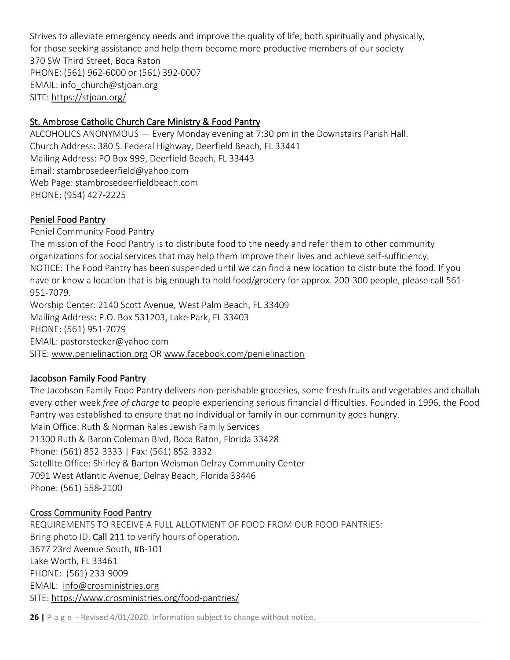Strives to alleviate emergency needs and improve the quality of life, both spiritually and physically, for those seeking assistance and help them become more productive members of our society 370 SW Third Street, Boca Raton PHONE: (561) 962-6000 or (561) 392-0007 EMAIL: info\_church@stjoan.org SITE:<https://stjoan.org/>

#### St. Ambrose Catholic Church Care Ministry & Food Pantry

ALCOHOLICS ANONYMOUS — Every Monday evening at 7:30 pm in the Downstairs Parish Hall. Church Address: 380 S. Federal Highway, Deerfield Beach, FL 33441 Mailing Address: PO Box 999, Deerfield Beach, FL 33443 Email: stambrosedeerfield@yahoo.com Web Page: stambrosedeerfieldbeach.com PHONE: (954) 427-2225

#### Peniel Food Pantry

Peniel Community Food Pantry The mission of the Food Pantry is to distribute food to the needy and refer them to other community organizations for social services that may help them improve their lives and achieve self-sufficiency. NOTICE: The Food Pantry has been suspended until we can find a new location to distribute the food. If you have or know a location that is big enough to hold food/grocery for approx. 200-300 people, please call 561- 951-7079. Worship Center: 2140 Scott Avenue, West Palm Beach, FL 33409 Mailing Address: P.O. Box 531203, Lake Park, FL 33403 PHONE: (561) 951-7079

EMAIL: pastorstecker@yahoo.com SITE: [www.penielinaction.org](http://www.penielinaction.org/) OR [www.facebook.com/penielinaction](http://www.facebook.com/penielinaction)

#### Jacobson Family Food Pantry

The Jacobson Family Food Pantry delivers non-perishable groceries, some fresh fruits and vegetables and challah every other week *free of charge* to people experiencing serious financial difficulties. Founded in 1996, the Food Pantry was established to ensure that no individual or family in our community goes hungry. Main Office: Ruth & Norman Rales Jewish Family Services 21300 Ruth & Baron Coleman Blvd, Boca Raton, Florida 33428 Phone: (561) 852-3333 | Fax: (561) 852-3332 Satellite Office: Shirley & Barton Weisman Delray Community Center 7091 West Atlantic Avenue, Delray Beach, Florida 33446 Phone: (561) 558-2100

#### Cross Community Food Pantry

REQUIREMENTS TO RECEIVE A FULL ALLOTMENT OF FOOD FROM OUR FOOD PANTRIES: Bring photo ID. Call 211 to verify hours of operation. 3677 23rd Avenue South, #B-101 Lake Worth, FL 33461 PHONE: (561) 233-9009 EMAIL: [info@crosministries.org](mailto:gnauman@crosministries.org) SITE:<https://www.crosministries.org/food-pantries/>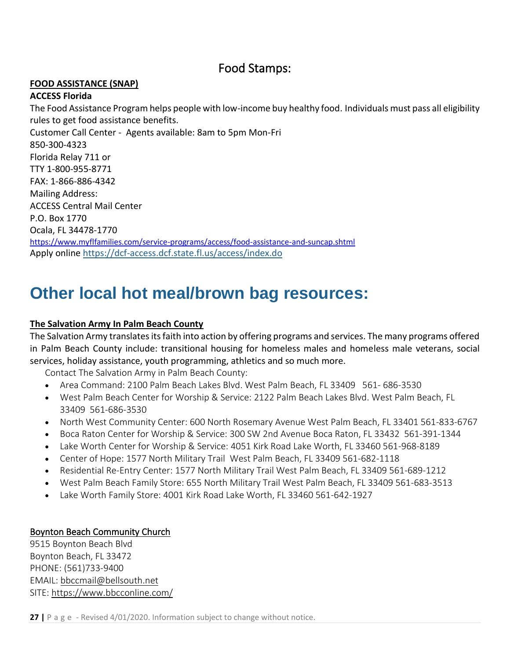#### Food Stamps:

#### <span id="page-27-0"></span>**FOOD ASSISTANCE (SNAP)**

#### **ACCESS Florida**

The Food Assistance Program helps people with low-income buy healthy food. Individuals must pass all eligibility rules to get food assistance benefits. Customer Call Center - Agents available: 8am to 5pm Mon-Fri 850-300-4323 Florida Relay 711 or TTY 1-800-955-8771 FAX: 1-866-886-4342 Mailing Address: ACCESS Central Mail Center P.O. Box 1770 Ocala, FL 34478-1770 <https://www.myflfamilies.com/service-programs/access/food-assistance-and-suncap.shtml> Apply online<https://dcf-access.dcf.state.fl.us/access/index.do>

### <span id="page-27-1"></span>**Other local hot meal/brown bag resources:**

#### **The Salvation Army In Palm Beach County**

The Salvation Army translates its faith into action by offering programs and services. The many programs offered in Palm Beach County include: transitional housing for homeless males and homeless male veterans, social services, holiday assistance, youth programming, athletics and so much more.

Contact The Salvation Army in Palm Beach County:

- Area Command: 2100 Palm Beach Lakes Blvd. West Palm Beach, FL 33409 561- 686-3530
- West Palm Beach Center for Worship & Service: 2122 Palm Beach Lakes Blvd. West Palm Beach, FL 33409 561-686-3530
- North West Community Center: 600 North Rosemary Avenue West Palm Beach, FL 33401 561-833-6767
- Boca Raton Center for Worship & Service: 300 SW 2nd Avenue Boca Raton, FL 33432 561-391-1344
- Lake Worth Center for Worship & Service: 4051 Kirk Road Lake Worth, FL 33460 561-968-8189
- Center of Hope: 1577 North Military Trail West Palm Beach, FL 33409 561-682-1118
- Residential Re-Entry Center: 1577 North Military Trail West Palm Beach, FL 33409 561-689-1212
- West Palm Beach Family Store: 655 North Military Trail West Palm Beach, FL 33409 561-683-3513
- Lake Worth Family Store: 4001 Kirk Road Lake Worth, FL 33460 561-642-1927

#### Boynton Beach Community Church

9515 Boynton Beach Blvd Boynton Beach, FL 33472 PHONE: (561)733-9400 EMAIL: [bbccmail@bellsouth.net](mailto:bbccmail@bellsouth.net) SITE:<https://www.bbcconline.com/>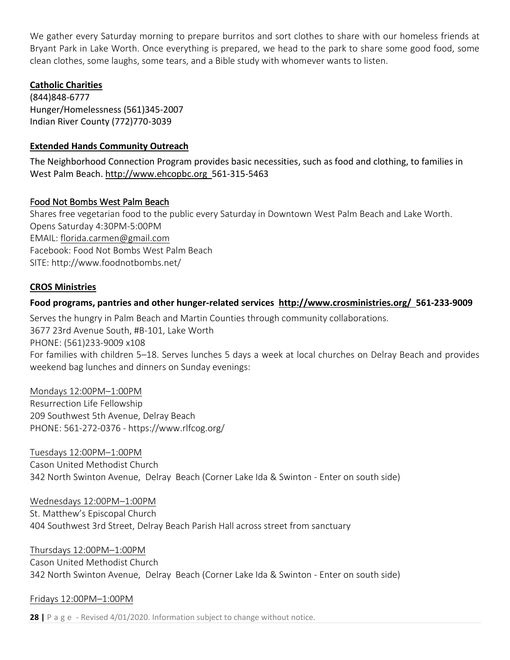We gather every Saturday morning to prepare burritos and sort clothes to share with our homeless friends at Bryant Park in Lake Worth. Once everything is prepared, we head to the park to share some good food, some clean clothes, some laughs, some tears, and a Bible study with whomever wants to listen.

#### **Catholic Charities**

(844)848-6777 Hunger/Homelessness (561)345-2007 Indian River County (772)770-3039

#### **Extended Hands Community Outreach**

The Neighborhood Connection Program provides basic necessities, such as food and clothing, to families in West Palm Beach. [http://www.ehcopbc.org](http://www.ehcopbc.org/) 561-315-5463

#### Food Not Bombs West Palm Beach

Shares free vegetarian food to the public every Saturday in Downtown West Palm Beach and Lake Worth. Opens Saturday 4:30PM-5:00PM EMAIL: [florida.carmen@gmail.com](mailto:florida.carmen@gmail.com) Facebook: Food Not Bombs West Palm Beach SITE: http://www.foodnotbombs.net/

#### **CROS Ministries**

#### **Food programs, pantries and other hunger-related services <http://www.crosministries.org/>561-233-9009**

Serves the hungry in Palm Beach and Martin Counties through community collaborations. 3677 23rd Avenue South, #B-101, Lake Worth PHONE: (561)233-9009 x108 For families with children 5–18. Serves lunches 5 days a week at local churches on Delray Beach and provides weekend bag lunches and dinners on Sunday evenings:

#### Mondays 12:00PM–1:00PM

Resurrection Life Fellowship 209 Southwest 5th Avenue, Delray Beach PHONE: 561-272-0376 - https://www.rlfcog.org/

#### Tuesdays 12:00PM–1:00PM

Cason United Methodist Church 342 North Swinton Avenue, Delray Beach (Corner Lake Ida & Swinton - Enter on south side)

#### Wednesdays 12:00PM–1:00PM

St. Matthew's Episcopal Church 404 Southwest 3rd Street, Delray Beach Parish Hall across street from sanctuary

#### Thursdays 12:00PM–1:00PM

Cason United Methodist Church 342 North Swinton Avenue, Delray Beach (Corner Lake Ida & Swinton - Enter on south side)

#### Fridays 12:00PM–1:00PM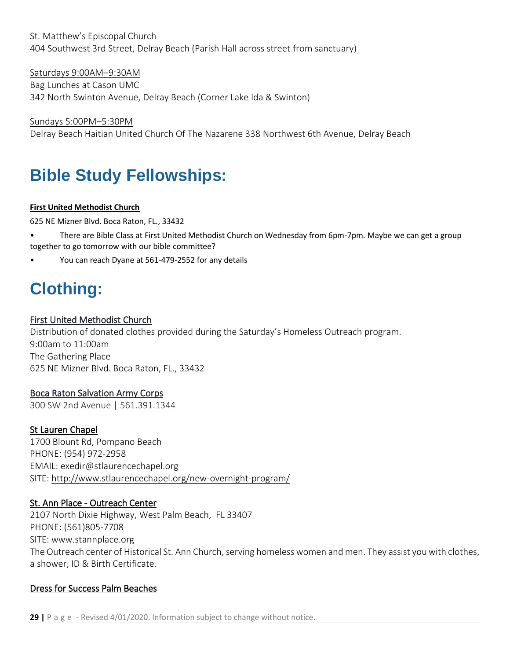St. Matthew's Episcopal Church 404 Southwest 3rd Street, Delray Beach (Parish Hall across street from sanctuary)

Saturdays 9:00AM–9:30AM Bag Lunches at Cason UMC 342 North Swinton Avenue, Delray Beach (Corner Lake Ida & Swinton)

Sundays 5:00PM–5:30PM Delray Beach Haitian United Church Of The Nazarene 338 Northwest 6th Avenue, Delray Beach

# <span id="page-29-0"></span>**Bible Study Fellowships:**

#### **First United Methodist Church**

625 NE Mizner Blvd. Boca Raton, FL., 33432

- There are Bible Class at First United Methodist Church on Wednesday from 6pm-7pm. Maybe we can get a group together to go tomorrow with our bible committee?
- You can reach Dyane at 561-479-2552 for any details

# <span id="page-29-1"></span>**Clothing:**

#### First United Methodist Church

Distribution of donated clothes provided during the Saturday's Homeless Outreach program. 9:00am to 11:00am The Gathering Place 625 NE Mizner Blvd. Boca Raton, FL., 33432

#### Boca Raton Salvation Army Corps

300 SW 2nd Avenue | 561.391.1344

#### St Lauren Chapel

1700 Blount Rd, Pompano Beach PHONE: (954) 972-2958 EMAIL: [exedir@stlaurencechapel.org](mailto:exedir@stlaurencechapel.org) SITE:<http://www.stlaurencechapel.org/new-overnight-program/>

#### St. Ann Place - Outreach Center

2107 North Dixie Highway, West Palm Beach, FL 33407 PHONE: (561)805-7708 SITE: www.stannplace.org The Outreach center of Historical St. Ann Church, serving homeless women and men. They assist you with clothes, a shower, ID & Birth Certificate.

#### Dress for Success Palm Beaches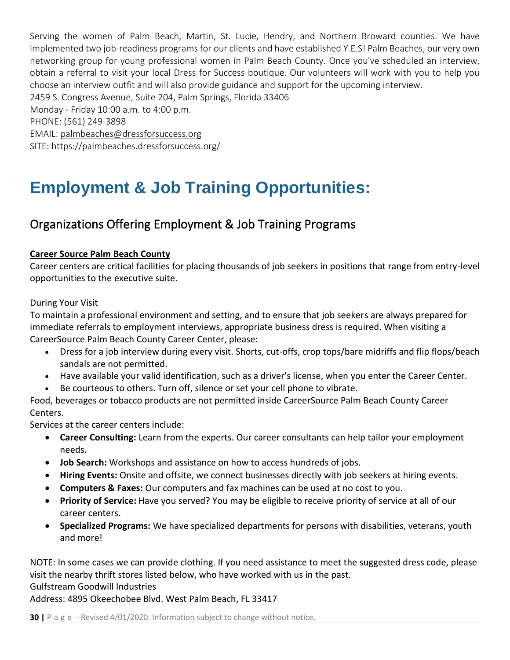Serving the women of Palm Beach, Martin, St. Lucie, Hendry, and Northern Broward counties. We have implemented two job-readiness programs for our clients and have established Y.E.S! Palm Beaches, our very own networking group for young professional women in Palm Beach County. Once you've scheduled an interview, obtain a referral to visit your local Dress for Success boutique. Our volunteers will work with you to help you choose an interview outfit and will also provide guidance and support for the upcoming interview. 2459 S. Congress Avenue, Suite 204, Palm Springs, Florida 33406 Monday - Friday 10:00 a.m. to 4:00 p.m. PHONE: (561) 249-3898 EMAIL: [palmbeaches@dressforsuccess.org](mailto:palmbeaches@dressforsuccess.org) SITE: https://palmbeaches.dressforsuccess.org/

## <span id="page-30-0"></span>**Employment & Job Training Opportunities:**

### <span id="page-30-1"></span>Organizations Offering Employment & Job Training Programs

#### **Career Source Palm Beach County**

Career centers are critical facilities for placing thousands of job seekers in positions that range from entry-level opportunities to the executive suite.

#### During Your Visit

To maintain a professional environment and setting, and to ensure that job seekers are always prepared for immediate referrals to employment interviews, appropriate business dress is required. When visiting a CareerSource Palm Beach County Career Center, please:

- Dress for a job interview during every visit. Shorts, cut-offs, crop tops/bare midriffs and flip flops/beach sandals are not permitted.
- Have available your valid identification, such as a driver's license, when you enter the Career Center.
- Be courteous to others. Turn off, silence or set your cell phone to vibrate.

Food, beverages or tobacco products are not permitted inside CareerSource Palm Beach County Career Centers.

Services at the career centers include:

- **Career Consulting:** Learn from the experts. Our career consultants can help tailor your employment needs.
- **Job Search:** Workshops and assistance on how to access hundreds of jobs.
- **Hiring Events:** Onsite and offsite, we connect businesses directly with job seekers at hiring events.
- **Computers & Faxes:** Our computers and fax machines can be used at no cost to you.
- **Priority of Service:** Have you served? You may be eligible to receive priority of service at all of our career centers.
- **Specialized Programs:** We have specialized departments for persons with disabilities, veterans, youth and more!

NOTE: In some cases we can provide clothing. If you need assistance to meet the suggested dress code, please visit the nearby thrift stores listed below, who have worked with us in the past.

#### Gulfstream Goodwill Industries

Address: 4895 Okeechobee Blvd. West Palm Beach, FL 33417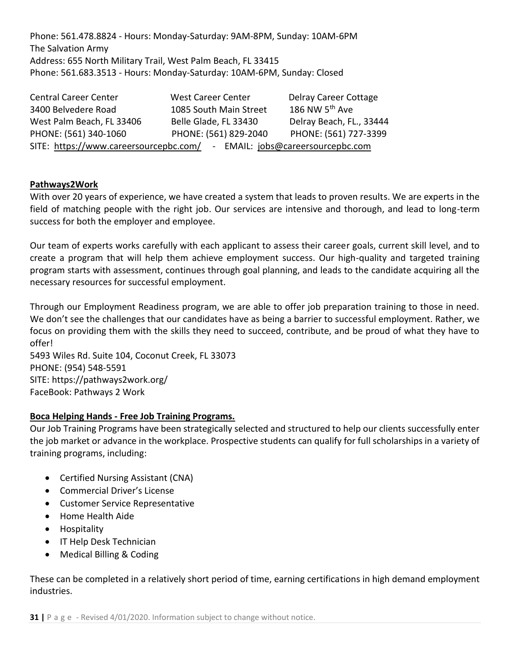Phone: 561.478.8824 - Hours: Monday-Saturday: 9AM-8PM, Sunday: 10AM-6PM The Salvation Army Address: 655 North Military Trail, West Palm Beach, FL 33415 Phone: 561.683.3513 - Hours: Monday-Saturday: 10AM-6PM, Sunday: Closed

| <b>Central Career Center</b>                                                | <b>West Career Center</b> | Delray Career Cottage      |  |  |
|-----------------------------------------------------------------------------|---------------------------|----------------------------|--|--|
| 3400 Belvedere Road                                                         | 1085 South Main Street    | 186 NW 5 <sup>th</sup> Ave |  |  |
| West Palm Beach, FL 33406                                                   | Belle Glade, FL 33430     | Delray Beach, FL., 33444   |  |  |
| PHONE: (561) 340-1060                                                       | PHONE: (561) 829-2040     | PHONE: (561) 727-3399      |  |  |
| SITE: https://www.careersourcepbc.com/<br>- EMAIL: jobs@careersourcepbc.com |                           |                            |  |  |

#### **Pathways2Work**

With over 20 years of experience, we have created a system that leads to proven results. We are experts in the field of matching people with the right job. Our services are intensive and thorough, and lead to long-term success for both the employer and employee.

Our team of experts works carefully with each applicant to assess their career goals, current skill level, and to create a program that will help them achieve employment success. Our high-quality and targeted training program starts with assessment, continues through goal planning, and leads to the candidate acquiring all the necessary resources for successful employment.

Through our Employment Readiness program, we are able to offer job preparation training to those in need. We don't see the challenges that our candidates have as being a barrier to successful employment. Rather, we focus on providing them with the skills they need to succeed, contribute, and be proud of what they have to offer!

5493 Wiles Rd. Suite 104, Coconut Creek, FL 33073 PHONE: (954) 548-5591 SITE:<https://pathways2work.org/> FaceBook: Pathways 2 Work

#### **Boca Helping Hands - Free Job Training Programs.**

Our Job Training Programs have been strategically selected and structured to help our clients successfully enter the job market or advance in the workplace. Prospective students can qualify for full scholarships in a variety of training programs, including:

- Certified Nursing Assistant (CNA)
- Commercial Driver's License
- Customer Service Representative
- Home Health Aide
- Hospitality
- IT Help Desk Technician
- Medical Billing & Coding

These can be completed in a relatively short period of time, earning certifications in high demand employment industries.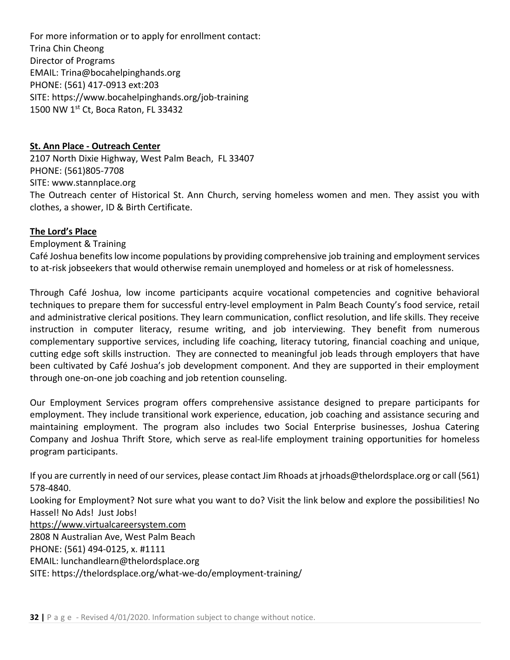For more information or to apply for enrollment contact: Trina Chin Cheong Director of Programs EMAIL: Trina@bocahelpinghands.org PHONE: (561) 417-0913 ext:203 SITE: https://www.bocahelpinghands.org/job-training 1500 NW 1st Ct, Boca Raton, FL 33432

#### **St. Ann Place - Outreach Center**

2107 North Dixie Highway, West Palm Beach, FL 33407 PHONE: (561)805-7708 SITE: www.stannplace.org The Outreach center of Historical St. Ann Church, serving homeless women and men. They assist you with clothes, a shower, ID & Birth Certificate.

#### **The Lord's Place**

Employment & Training

Café Joshua benefits low income populations by providing comprehensive job training and employment services to at-risk jobseekers that would otherwise remain unemployed and homeless or at risk of homelessness.

Through Café Joshua, low income participants acquire vocational competencies and cognitive behavioral techniques to prepare them for successful entry-level employment in Palm Beach County's food service, retail and administrative clerical positions. They learn communication, conflict resolution, and life skills. They receive instruction in computer literacy, resume writing, and job interviewing. They benefit from numerous complementary supportive services, including life coaching, literacy tutoring, financial coaching and unique, cutting edge soft skills instruction. They are connected to meaningful job leads through employers that have been cultivated by Café Joshua's job development component. And they are supported in their employment through one-on-one job coaching and job retention counseling.

Our Employment Services program offers comprehensive assistance designed to prepare participants for employment. They include transitional work experience, education, job coaching and assistance securing and maintaining employment. The program also includes two Social Enterprise businesses, Joshua Catering Company and Joshua Thrift Store, which serve as real-life employment training opportunities for homeless program participants.

If you are currently in need of our services, please contact Jim Rhoads at jrhoads@thelordsplace.org or call (561) 578-4840.

Looking for Employment? Not sure what you want to do? Visit the link below and explore the possibilities! No Hassel! No Ads! Just Jobs!

[https://www.virtualcareersystem.com](https://www.virtualcareersystem.com/)

2808 N Australian Ave, West Palm Beach

PHONE: (561) 494-0125, x. #1111

EMAIL: lunchandlearn@thelordsplace.org

SITE: https://thelordsplace.org/what-we-do/employment-training/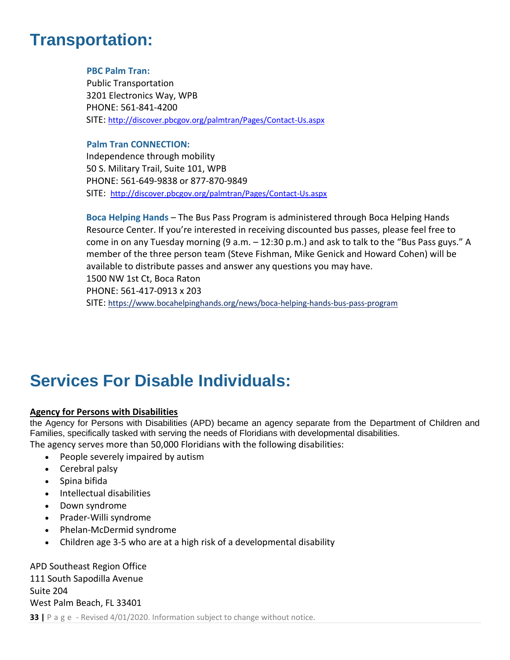### <span id="page-33-0"></span>**Transportation:**

#### **PBC Palm Tran:**

Public Transportation 3201 Electronics Way, WPB PHONE: [561-841-4200](tel:561-841-4200) SITE: <http://discover.pbcgov.org/palmtran/Pages/Contact-Us.aspx>

#### **Palm Tran CONNECTION:**

Independence through mobility 50 S. Military Trail, Suite 101, WPB PHONE: 561-649-9838 or 877-870-9849 SITE: <http://discover.pbcgov.org/palmtran/Pages/Contact-Us.aspx>

**Boca Helping Hands** – The Bus Pass Program is administered through Boca Helping Hands Resource Center. If you're interested in receiving discounted bus passes, please feel free to come in on any Tuesday morning (9 a.m. – 12:30 p.m.) and ask to talk to the "Bus Pass guys." A member of the three person team (Steve Fishman, Mike Genick and Howard Cohen) will be available to distribute passes and answer any questions you may have. 1500 NW 1st Ct, Boca Raton PHONE: 561-417-0913 x 203 SITE: <https://www.bocahelpinghands.org/news/boca-helping-hands-bus-pass-program>

### <span id="page-33-1"></span>**Services For Disable Individuals:**

#### **Agency for Persons with Disabilities**

the Agency for Persons with Disabilities (APD) became an agency separate from the Department of Children and Families, specifically tasked with serving the needs of Floridians with developmental disabilities. The agency serves more than 50,000 Floridians with the following disabilities:

- People severely impaired by autism
- Cerebral palsy
- Spina bifida
- Intellectual disabilities
- Down syndrome
- Prader-Willi syndrome
- Phelan-McDermid syndrome
- Children age 3-5 who are at a high risk of a developmental disability

**33** | P a g e - Revised 4/01/2020. Information subject to change without notice. APD Southeast Region Office 111 South Sapodilla Avenue Suite 204 West Palm Beach, FL 33401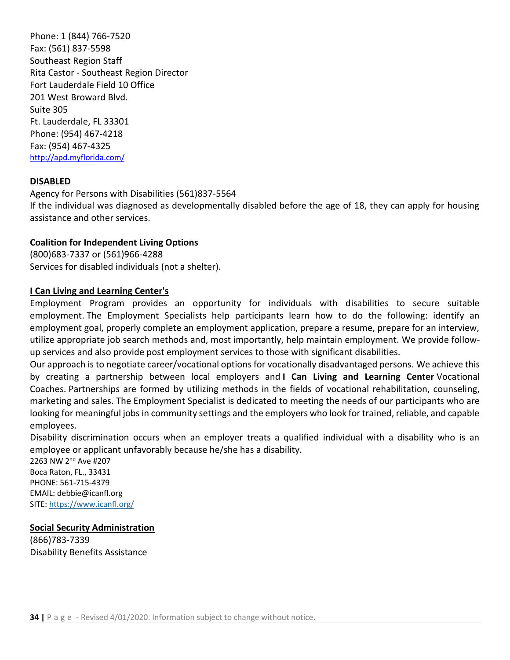Phone: 1 (844) 766-7520 Fax: (561) 837-5598 Southeast Region Staff Rita Castor - Southeast Region Director Fort Lauderdale Field 10 Office 201 West Broward Blvd. Suite 305 Ft. Lauderdale, FL 33301 Phone: (954) 467-4218 Fax: (954) 467-4325 <http://apd.myflorida.com/>

#### **DISABLED**

Agency for Persons with Disabilities (561)837-5564 If the individual was diagnosed as developmentally disabled before the age of 18, they can apply for housing assistance and other services.

#### **Coalition for Independent Living Options**

(800)683-7337 or (561)966-4288 Services for disabled individuals (not a shelter).

#### **I Can Living and Learning Center's**

Employment Program provides an opportunity for individuals with disabilities to secure suitable employment. The Employment Specialists help participants learn how to do the following: identify an employment goal, properly complete an employment application, prepare a resume, prepare for an interview, utilize appropriate job search methods and, most importantly, help maintain employment. We provide followup services and also provide post employment services to those with significant disabilities.

Our approach is to negotiate career/vocational options for vocationally disadvantaged persons. We achieve this by creating a partnership between local employers and **I Can Living and Learning Center** Vocational Coaches. Partnerships are formed by utilizing methods in the fields of vocational rehabilitation, counseling, marketing and sales. The Employment Specialist is dedicated to meeting the needs of our participants who are looking for meaningful jobs in community settings and the employers who look for trained, reliable, and capable employees.

Disability discrimination occurs when an employer treats a qualified individual with a disability who is an employee or applicant unfavorably because he/she has a disability.

2263 NW 2nd Ave #207 Boca Raton, FL., 33431 PHONE: 561-715-4379 EMAIL: debbie@icanfl.org SITE:<https://www.icanfl.org/>

#### **Social Security Administration**

(866)783-7339 Disability Benefits Assistance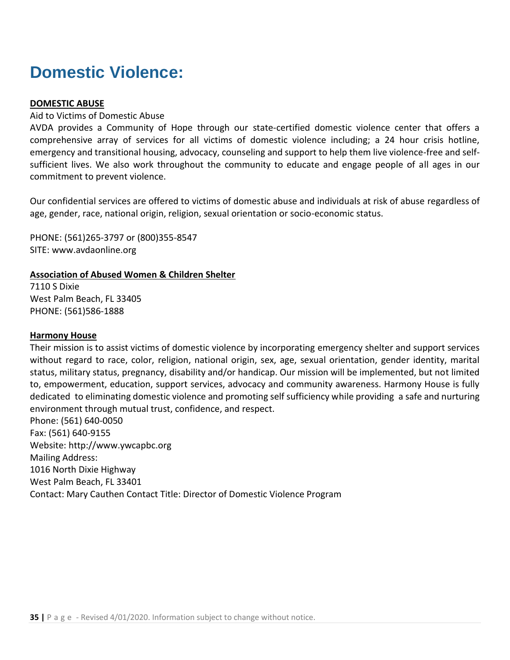### <span id="page-35-0"></span>**Domestic Violence:**

#### **DOMESTIC ABUSE**

#### Aid to Victims of Domestic Abuse

AVDA provides a Community of Hope through our state-certified domestic violence center that offers a comprehensive array of services for all victims of domestic violence including; a 24 hour crisis hotline, emergency and transitional housing, advocacy, counseling and support to help them live violence-free and selfsufficient lives. We also work throughout the community to educate and engage people of all ages in our commitment to prevent violence.

Our confidential services are offered to victims of domestic abuse and individuals at risk of abuse regardless of age, gender, race, national origin, religion, sexual orientation or socio-economic status.

PHONE: (561)265-3797 or (800)355-8547 SITE: www.avdaonline.org

#### **Association of Abused Women & Children Shelter**

7110 S Dixie West Palm Beach, FL 33405 PHONE: (561)586-1888

#### **Harmony House**

Their mission is to assist victims of domestic violence by incorporating emergency shelter and support services without regard to race, color, religion, national origin, sex, age, sexual orientation, gender identity, marital status, military status, pregnancy, disability and/or handicap. Our mission will be implemented, but not limited to, empowerment, education, support services, advocacy and community awareness. Harmony House is fully dedicated to eliminating domestic violence and promoting self sufficiency while providing a safe and nurturing environment through mutual trust, confidence, and respect.

Phone: (561) 640-0050 Fax: (561) 640-9155 Website: http://www.ywcapbc.org Mailing Address: 1016 North Dixie Highway West Palm Beach, FL 33401 Contact: Mary Cauthen Contact Title: Director of Domestic Violence Program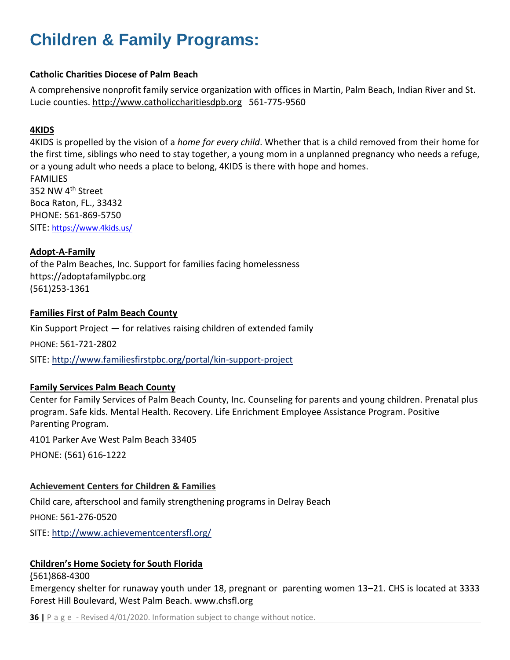## <span id="page-36-0"></span>**Children & Family Programs:**

#### **Catholic Charities Diocese of Palm Beach**

A comprehensive nonprofit family service organization with offices in Martin, Palm Beach, Indian River and St. Lucie counties. [http://www.catholiccharitiesdpb.org](http://www.catholiccharitiesdpb.org/) 561-775-9560

#### **4KIDS**

4KIDS is propelled by the vision of a *home for every child*. Whether that is a child removed from their home for the first time, siblings who need to stay together, a young mom in a unplanned pregnancy who needs a refuge, or a young adult who needs a place to belong, 4KIDS is there with hope and homes. FAMILIES 352 NW 4th Street Boca Raton, FL., 33432 PHONE: 561-869-5750 SITE: <https://www.4kids.us/>

#### **Adopt-A-Family**

of the Palm Beaches, Inc. Support for families facing homelessness https://adoptafamilypbc.org (561)253-1361

#### **Families First of Palm Beach County**

Kin Support Project — for relatives raising children of extended family PHONE: 561-721-2802 SITE:<http://www.familiesfirstpbc.org/portal/kin-support-project>

#### **Family Services Palm Beach County**

Center for Family Services of Palm Beach County, Inc. Counseling for parents and young children. Prenatal plus program. Safe kids. Mental Health. Recovery. Life Enrichment Employee Assistance Program. Positive Parenting Program.

4101 Parker Ave West Palm Beach 33405

PHONE: (561) 616-1222

#### **Achievement Centers for Children & Families**

Child care, afterschool and family strengthening programs in Delray Beach PHONE: 561-276-0520 SITE:<http://www.achievementcentersfl.org/>

#### **Children's Home Society for South Florida**

#### (561)868-4300

Emergency shelter for runaway youth under 18, pregnant or parenting women 13–21. CHS is located at 3333 Forest Hill Boulevard, West Palm Beach. www.chsfl.org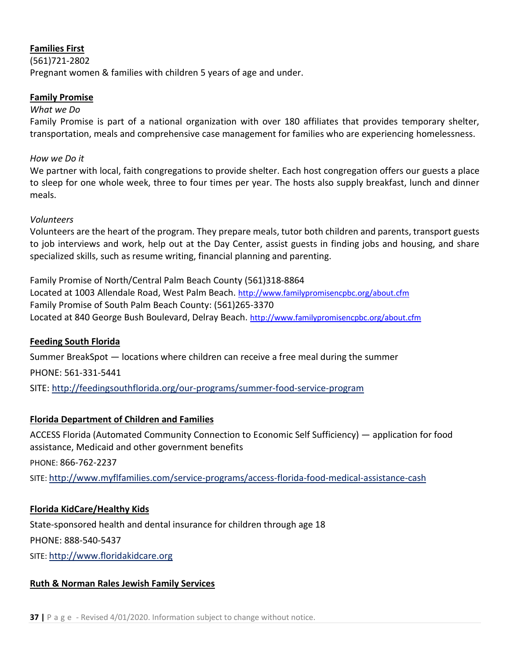#### **Families First**

(561)721-2802 Pregnant women & families with children 5 years of age and under.

#### **Family Promise**

#### *What we Do*

Family Promise is part of a national organization with over 180 affiliates that provides temporary shelter, transportation, meals and comprehensive case management for families who are experiencing homelessness.

#### *How we Do it*

We partner with local, faith congregations to provide shelter. Each host congregation offers our guests a place to sleep for one whole week, three to four times per year. The hosts also supply breakfast, lunch and dinner meals.

#### *Volunteers*

Volunteers are the heart of the program. They prepare meals, tutor both children and parents, transport guests to job interviews and work, help out at the Day Center, assist guests in finding jobs and housing, and share specialized skills, such as resume writing, financial planning and parenting.

Family Promise of North/Central Palm Beach County (561)318-8864 Located at 1003 Allendale Road, West Palm Beach. <http://www.familypromisencpbc.org/about.cfm> Family Promise of South Palm Beach County: (561)265-3370 Located at 840 George Bush Boulevard, Delray Beach. <http://www.familypromisencpbc.org/about.cfm>

#### **Feeding South Florida**

Summer BreakSpot — locations where children can receive a free meal during the summer PHONE: 561-331-5441 SITE:<http://feedingsouthflorida.org/our-programs/summer-food-service-program>

### **Florida Department of Children and Families**

ACCESS Florida (Automated Community Connection to Economic Self Sufficiency) — application for food assistance, Medicaid and other government benefits

PHONE: 866-762-2237

SITE: <http://www.myflfamilies.com/service-programs/access-florida-food-medical-assistance-cash>

#### **Florida KidCare/Healthy Kids**

State-sponsored health and dental insurance for children through age 18 PHONE: 888-540-5437 SITE: [http://www.floridakidcare.org](http://www.floridakidcare.org/) 

#### **Ruth & Norman Rales Jewish Family Services**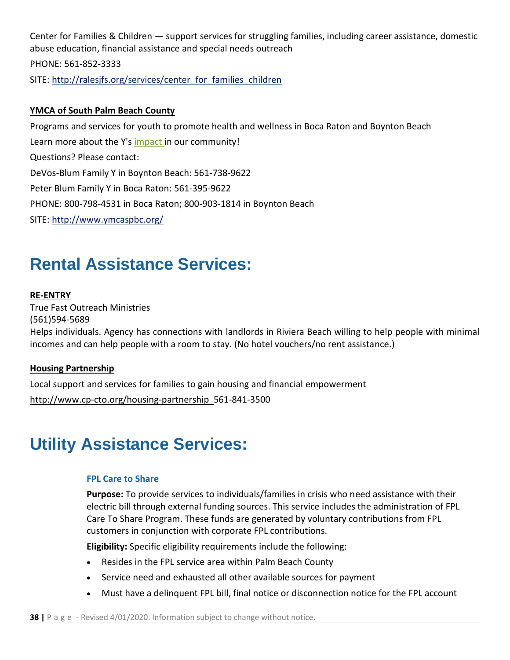Center for Families & Children — support services for struggling families, including career assistance, domestic abuse education, financial assistance and special needs outreach PHONE: 561-852-3333 SITE: http://ralesjfs.org/services/center\_for\_families\_children

#### **YMCA of South Palm Beach County**

Programs and services for youth to promote health and wellness in Boca Raton and Boynton Beach Learn more about the Y's [impact](https://www.ymcaspbc.org/impact) in our community! Questions? Please contact: DeVos-Blum Family Y in Boynton Beach: 561-738-9622 Peter Blum Family Y in Boca Raton: 561-395-9622 PHONE: 800-798-4531 in Boca Raton; 800-903-1814 in Boynton Beach SITE:<http://www.ymcaspbc.org/>

### <span id="page-38-0"></span>**Rental Assistance Services:**

#### **RE-ENTRY**

True Fast Outreach Ministries (561)594-5689 Helps individuals. Agency has connections with landlords in Riviera Beach willing to help people with minimal incomes and can help people with a room to stay. (No hotel vouchers/no rent assistance.)

#### **Housing Partnership**

Local support and services for families to gain housing and financial empowerment

<http://www.cp-cto.org/housing-partnership>561-841-3500

### <span id="page-38-1"></span>**Utility Assistance Services:**

#### **FPL Care to Share**

**Purpose:** To provide services to individuals/families in crisis who need assistance with their electric bill through external funding sources. This service includes the administration of FPL Care To Share Program. These funds are generated by voluntary contributions from FPL customers in conjunction with corporate FPL contributions.

**Eligibility:** Specific eligibility requirements include the following:

- Resides in the FPL service area within Palm Beach County
- Service need and exhausted all other available sources for payment
- Must have a delinquent FPL bill, final notice or disconnection notice for the FPL account